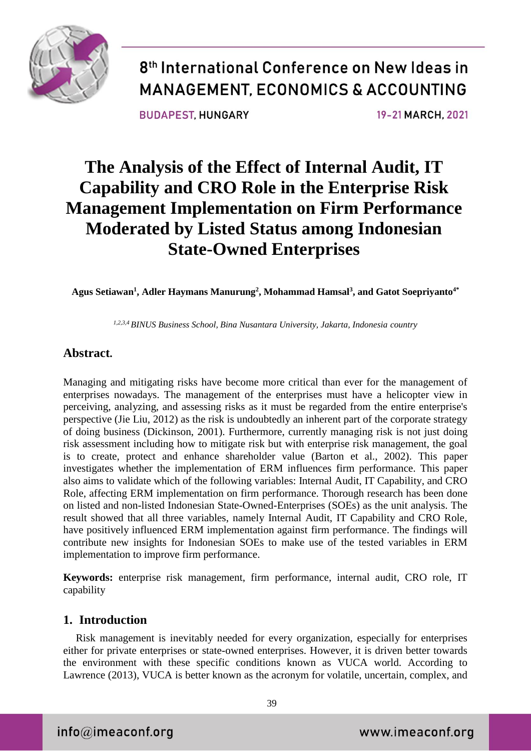

**BUDAPEST HUNGARY** 

19-21 MARCH, 2021

## **The Analysis of the Effect of Internal Audit, IT Capability and CRO Role in the Enterprise Risk Management Implementation on Firm Performance Moderated by Listed Status among Indonesian State-Owned Enterprises**

**Agus Setiawan<sup>1</sup> , Adler Haymans Manurung<sup>2</sup> , Mohammad Hamsal<sup>3</sup> , and Gatot Soepriyanto4\***

*1,2,3,4 BINUS Business School, Bina Nusantara University, Jakarta, Indonesia country*

### **Abstract.**

Managing and mitigating risks have become more critical than ever for the management of enterprises nowadays. The management of the enterprises must have a helicopter view in perceiving, analyzing, and assessing risks as it must be regarded from the entire enterprise's perspective (Jie Liu, 2012) as the risk is undoubtedly an inherent part of the corporate strategy of doing business (Dickinson, 2001). Furthermore, currently managing risk is not just doing risk assessment including how to mitigate risk but with enterprise risk management, the goal is to create, protect and enhance shareholder value (Barton et al., 2002). This paper investigates whether the implementation of ERM influences firm performance. This paper also aims to validate which of the following variables: Internal Audit, IT Capability, and CRO Role, affecting ERM implementation on firm performance. Thorough research has been done on listed and non-listed Indonesian State-Owned-Enterprises (SOEs) as the unit analysis. The result showed that all three variables, namely Internal Audit, IT Capability and CRO Role, have positively influenced ERM implementation against firm performance. The findings will contribute new insights for Indonesian SOEs to make use of the tested variables in ERM implementation to improve firm performance.

**Keywords:** enterprise risk management, firm performance, internal audit, CRO role, IT capability

### **1. Introduction**

Risk management is inevitably needed for every organization, especially for enterprises either for private enterprises or state-owned enterprises. However, it is driven better towards the environment with these specific conditions known as VUCA world. According to Lawrence (2013), VUCA is better known as the acronym for volatile, uncertain, complex, and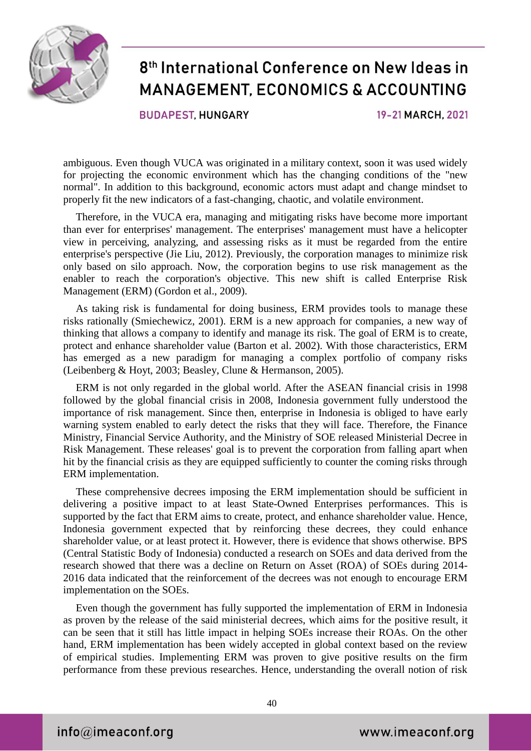

**BUDAPEST HUNGARY** 

19-21 MARCH, 2021

ambiguous. Even though VUCA was originated in a military context, soon it was used widely for projecting the economic environment which has the changing conditions of the "new normal". In addition to this background, economic actors must adapt and change mindset to properly fit the new indicators of a fast-changing, chaotic, and volatile environment.

Therefore, in the VUCA era, managing and mitigating risks have become more important than ever for enterprises' management. The enterprises' management must have a helicopter view in perceiving, analyzing, and assessing risks as it must be regarded from the entire enterprise's perspective (Jie Liu, 2012). Previously, the corporation manages to minimize risk only based on silo approach. Now, the corporation begins to use risk management as the enabler to reach the corporation's objective. This new shift is called Enterprise Risk Management (ERM) (Gordon et al., 2009).

As taking risk is fundamental for doing business, ERM provides tools to manage these risks rationally (Smiechewicz, 2001). ERM is a new approach for companies, a new way of thinking that allows a company to identify and manage its risk. The goal of ERM is to create, protect and enhance shareholder value (Barton et al. 2002). With those characteristics, ERM has emerged as a new paradigm for managing a complex portfolio of company risks (Leibenberg & Hoyt, 2003; Beasley, Clune & Hermanson, 2005).

ERM is not only regarded in the global world. After the ASEAN financial crisis in 1998 followed by the global financial crisis in 2008, Indonesia government fully understood the importance of risk management. Since then, enterprise in Indonesia is obliged to have early warning system enabled to early detect the risks that they will face. Therefore, the Finance Ministry, Financial Service Authority, and the Ministry of SOE released Ministerial Decree in Risk Management. These releases' goal is to prevent the corporation from falling apart when hit by the financial crisis as they are equipped sufficiently to counter the coming risks through ERM implementation.

These comprehensive decrees imposing the ERM implementation should be sufficient in delivering a positive impact to at least State-Owned Enterprises performances. This is supported by the fact that ERM aims to create, protect, and enhance shareholder value. Hence, Indonesia government expected that by reinforcing these decrees, they could enhance shareholder value, or at least protect it. However, there is evidence that shows otherwise. BPS (Central Statistic Body of Indonesia) conducted a research on SOEs and data derived from the research showed that there was a decline on Return on Asset (ROA) of SOEs during 2014- 2016 data indicated that the reinforcement of the decrees was not enough to encourage ERM implementation on the SOEs.

Even though the government has fully supported the implementation of ERM in Indonesia as proven by the release of the said ministerial decrees, which aims for the positive result, it can be seen that it still has little impact in helping SOEs increase their ROAs. On the other hand, ERM implementation has been widely accepted in global context based on the review of empirical studies. Implementing ERM was proven to give positive results on the firm performance from these previous researches. Hence, understanding the overall notion of risk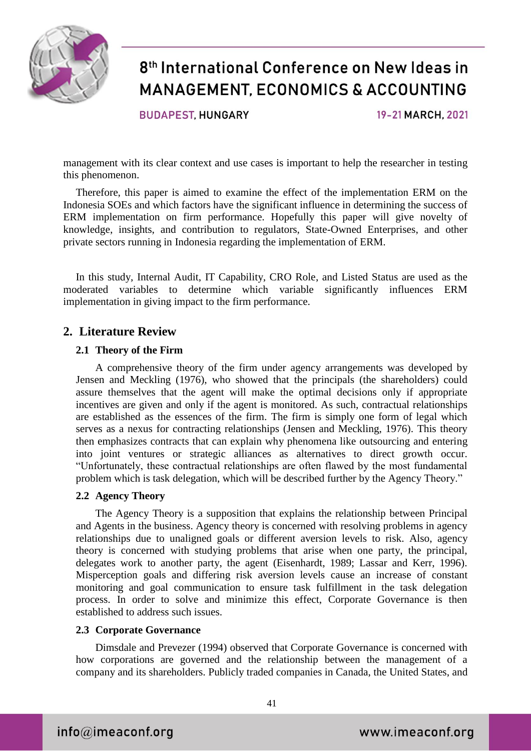

**BUDAPEST HUNGARY** 

19-21 MARCH, 2021

management with its clear context and use cases is important to help the researcher in testing this phenomenon.

Therefore, this paper is aimed to examine the effect of the implementation ERM on the Indonesia SOEs and which factors have the significant influence in determining the success of ERM implementation on firm performance. Hopefully this paper will give novelty of knowledge, insights, and contribution to regulators, State-Owned Enterprises, and other private sectors running in Indonesia regarding the implementation of ERM.

In this study, Internal Audit, IT Capability, CRO Role, and Listed Status are used as the moderated variables to determine which variable significantly influences ERM implementation in giving impact to the firm performance.

### **2. Literature Review**

#### **2.1 Theory of the Firm**

A comprehensive theory of the firm under agency arrangements was developed by Jensen and Meckling (1976), who showed that the principals (the shareholders) could assure themselves that the agent will make the optimal decisions only if appropriate incentives are given and only if the agent is monitored. As such, contractual relationships are established as the essences of the firm. The firm is simply one form of legal which serves as a nexus for contracting relationships (Jensen and Meckling, 1976). This theory then emphasizes contracts that can explain why phenomena like outsourcing and entering into joint ventures or strategic alliances as alternatives to direct growth occur. "Unfortunately, these contractual relationships are often flawed by the most fundamental problem which is task delegation, which will be described further by the Agency Theory."

#### **2.2 Agency Theory**

The Agency Theory is a supposition that explains the relationship between Principal and Agents in the business. Agency theory is concerned with resolving problems in agency relationships due to unaligned goals or different aversion levels to risk. Also, agency theory is concerned with studying problems that arise when one party, the principal, delegates work to another party, the agent (Eisenhardt, 1989; Lassar and Kerr, 1996). Misperception goals and differing risk aversion levels cause an increase of constant monitoring and goal communication to ensure task fulfillment in the task delegation process. In order to solve and minimize this effect, Corporate Governance is then established to address such issues.

#### **2.3 Corporate Governance**

Dimsdale and Prevezer (1994) observed that Corporate Governance is concerned with how corporations are governed and the relationship between the management of a company and its shareholders. Publicly traded companies in Canada, the United States, and

 $info@$ imeaconf.org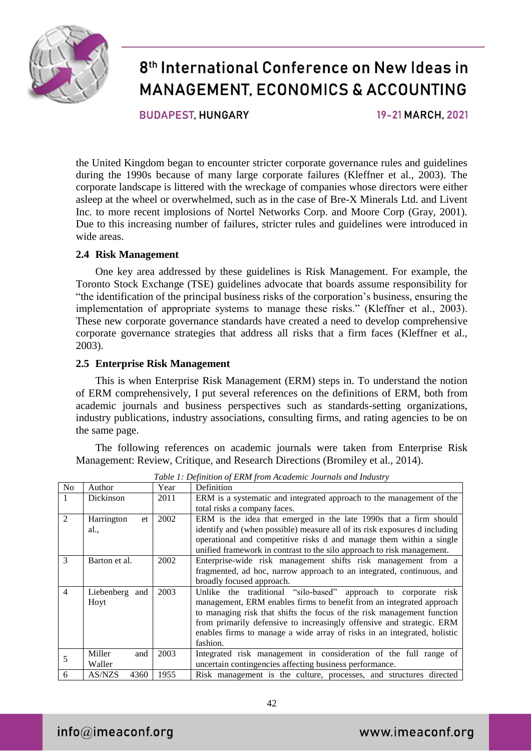

**BUDAPEST HUNGARY** 

19-21 MARCH, 2021

the United Kingdom began to encounter stricter corporate governance rules and guidelines during the 1990s because of many large corporate failures (Kleffner et al., 2003). The corporate landscape is littered with the wreckage of companies whose directors were either asleep at the wheel or overwhelmed, such as in the case of Bre-X Minerals Ltd. and Livent Inc. to more recent implosions of Nortel Networks Corp. and Moore Corp (Gray, 2001). Due to this increasing number of failures, stricter rules and guidelines were introduced in wide areas.

#### **2.4 Risk Management**

One key area addressed by these guidelines is Risk Management. For example, the Toronto Stock Exchange (TSE) guidelines advocate that boards assume responsibility for "the identification of the principal business risks of the corporation's business, ensuring the implementation of appropriate systems to manage these risks." (Kleffner et al., 2003). These new corporate governance standards have created a need to develop comprehensive corporate governance strategies that address all risks that a firm faces (Kleffner et al., 2003).

#### **2.5 Enterprise Risk Management**

This is when Enterprise Risk Management (ERM) steps in. To understand the notion of ERM comprehensively, I put several references on the definitions of ERM, both from academic journals and business perspectives such as standards-setting organizations, industry publications, industry associations, consulting firms, and rating agencies to be on the same page.

The following references on academic journals were taken from Enterprise Risk Management: Review, Critique, and Research Directions (Bromiley et al., 2014).

|                |                       |      | raoic 1. Definition of Ekin from Heademic Journalis and Industry           |
|----------------|-----------------------|------|----------------------------------------------------------------------------|
| N <sub>o</sub> | Author                | Year | Definition                                                                 |
|                | Dickinson             | 2011 | ERM is a systematic and integrated approach to the management of the       |
|                |                       |      | total risks a company faces.                                               |
| $\overline{2}$ | Harrington<br>et      | 2002 | ERM is the idea that emerged in the late 1990s that a firm should          |
|                | al.,                  |      | identify and (when possible) measure all of its risk exposures d including |
|                |                       |      | operational and competitive risks d and manage them within a single        |
|                |                       |      | unified framework in contrast to the silo approach to risk management.     |
| 3              | Barton et al.         | 2002 | Enterprise-wide risk management shifts risk management from a              |
|                |                       |      | fragmented, ad hoc, narrow approach to an integrated, continuous, and      |
|                |                       |      | broadly focused approach.                                                  |
| $\overline{4}$ | Liebenberg and        | 2003 | Unlike the traditional "silo-based" approach to corporate risk             |
|                | Hoyt                  |      | management, ERM enables firms to benefit from an integrated approach       |
|                |                       |      | to managing risk that shifts the focus of the risk management function     |
|                |                       |      | from primarily defensive to increasingly offensive and strategic. ERM      |
|                |                       |      | enables firms to manage a wide array of risks in an integrated, holistic   |
|                |                       |      | fashion.                                                                   |
| 5              | Miller<br>and         | 2003 | Integrated risk management in consideration of the full range of           |
|                | Waller                |      | uncertain contingencies affecting business performance.                    |
| 6              | <b>AS/NZS</b><br>4360 | 1955 | Risk management is the culture, processes, and structures directed         |

*Table 1: Definition of ERM from Academic Journals and Industry*

 $info@$ imeaconf.org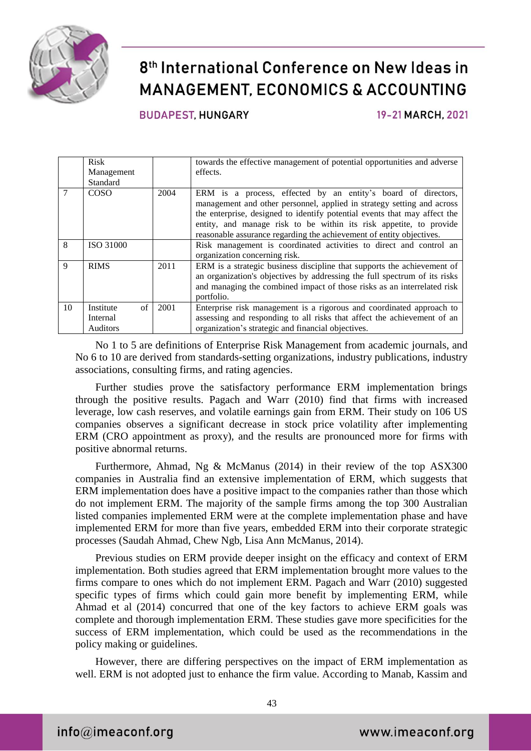

**BUDAPEST HUNGARY** 

19-21 MARCH, 2021

|               | <b>Risk</b><br>Management<br>Standard           |      | towards the effective management of potential opportunities and adverse<br>effects.                                                                                                                                                                                                                                                                                |
|---------------|-------------------------------------------------|------|--------------------------------------------------------------------------------------------------------------------------------------------------------------------------------------------------------------------------------------------------------------------------------------------------------------------------------------------------------------------|
| $\mathcal{I}$ | <b>COSO</b>                                     | 2004 | ERM is a process, effected by an entity's board of directors,<br>management and other personnel, applied in strategy setting and across<br>the enterprise, designed to identify potential events that may affect the<br>entity, and manage risk to be within its risk appetite, to provide<br>reasonable assurance regarding the achievement of entity objectives. |
| 8             | ISO 31000                                       |      | Risk management is coordinated activities to direct and control an<br>organization concerning risk.                                                                                                                                                                                                                                                                |
| 9             | <b>RIMS</b>                                     | 2011 | ERM is a strategic business discipline that supports the achievement of<br>an organization's objectives by addressing the full spectrum of its risks<br>and managing the combined impact of those risks as an interrelated risk<br>portfolio.                                                                                                                      |
| 10            | $\sigma$ f<br>Institute<br>Internal<br>Auditors | 2001 | Enterprise risk management is a rigorous and coordinated approach to<br>assessing and responding to all risks that affect the achievement of an<br>organization's strategic and financial objectives.                                                                                                                                                              |

No 1 to 5 are definitions of Enterprise Risk Management from academic journals, and No 6 to 10 are derived from standards-setting organizations, industry publications, industry associations, consulting firms, and rating agencies.

Further studies prove the satisfactory performance ERM implementation brings through the positive results. Pagach and Warr (2010) find that firms with increased leverage, low cash reserves, and volatile earnings gain from ERM. Their study on 106 US companies observes a significant decrease in stock price volatility after implementing ERM (CRO appointment as proxy), and the results are pronounced more for firms with positive abnormal returns.

Furthermore, Ahmad, Ng & McManus (2014) in their review of the top ASX300 companies in Australia find an extensive implementation of ERM, which suggests that ERM implementation does have a positive impact to the companies rather than those which do not implement ERM. The majority of the sample firms among the top 300 Australian listed companies implemented ERM were at the complete implementation phase and have implemented ERM for more than five years, embedded ERM into their corporate strategic processes (Saudah Ahmad, Chew Ngb, Lisa Ann McManus, 2014).

Previous studies on ERM provide deeper insight on the efficacy and context of ERM implementation. Both studies agreed that ERM implementation brought more values to the firms compare to ones which do not implement ERM. Pagach and Warr (2010) suggested specific types of firms which could gain more benefit by implementing ERM, while Ahmad et al (2014) concurred that one of the key factors to achieve ERM goals was complete and thorough implementation ERM. These studies gave more specificities for the success of ERM implementation, which could be used as the recommendations in the policy making or guidelines.

However, there are differing perspectives on the impact of ERM implementation as well. ERM is not adopted just to enhance the firm value. According to Manab, Kassim and

 $info@$ imeaconf.org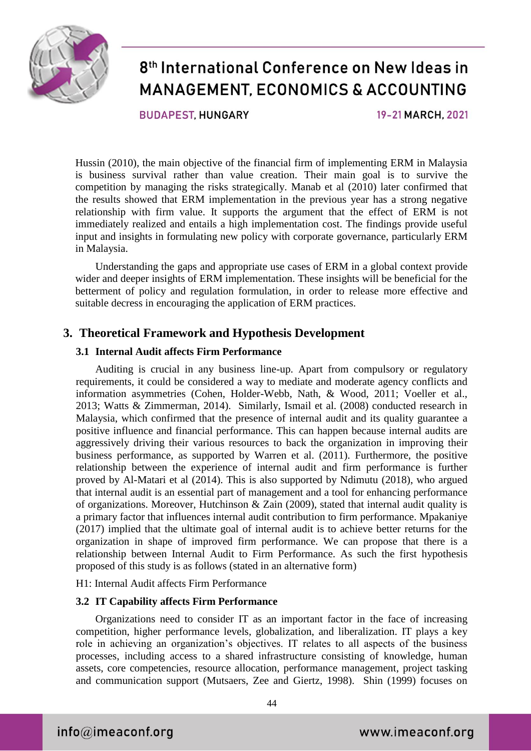

**BUDAPEST HUNGARY** 

19-21 MARCH, 2021

Hussin (2010), the main objective of the financial firm of implementing ERM in Malaysia is business survival rather than value creation. Their main goal is to survive the competition by managing the risks strategically. Manab et al (2010) later confirmed that the results showed that ERM implementation in the previous year has a strong negative relationship with firm value. It supports the argument that the effect of ERM is not immediately realized and entails a high implementation cost. The findings provide useful input and insights in formulating new policy with corporate governance, particularly ERM in Malaysia.

Understanding the gaps and appropriate use cases of ERM in a global context provide wider and deeper insights of ERM implementation. These insights will be beneficial for the betterment of policy and regulation formulation, in order to release more effective and suitable decress in encouraging the application of ERM practices.

### **3. Theoretical Framework and Hypothesis Development**

#### **3.1 Internal Audit affects Firm Performance**

Auditing is crucial in any business line-up. Apart from compulsory or regulatory requirements, it could be considered a way to mediate and moderate agency conflicts and information asymmetries (Cohen, Holder-Webb, Nath, & Wood, 2011; Voeller et al., 2013; Watts & Zimmerman, 2014). Similarly, Ismail et al. (2008) conducted research in Malaysia, which confirmed that the presence of internal audit and its quality guarantee a positive influence and financial performance. This can happen because internal audits are aggressively driving their various resources to back the organization in improving their business performance, as supported by Warren et al. (2011). Furthermore, the positive relationship between the experience of internal audit and firm performance is further proved by Al-Matari et al (2014). This is also supported by Ndimutu (2018), who argued that internal audit is an essential part of management and a tool for enhancing performance of organizations. Moreover, Hutchinson & Zain (2009), stated that internal audit quality is a primary factor that influences internal audit contribution to firm performance. Mpakaniye (2017) implied that the ultimate goal of internal audit is to achieve better returns for the organization in shape of improved firm performance. We can propose that there is a relationship between Internal Audit to Firm Performance. As such the first hypothesis proposed of this study is as follows (stated in an alternative form)

H1: Internal Audit affects Firm Performance

#### **3.2 IT Capability affects Firm Performance**

Organizations need to consider IT as an important factor in the face of increasing competition, higher performance levels, globalization, and liberalization. IT plays a key role in achieving an organization's objectives. IT relates to all aspects of the business processes, including access to a shared infrastructure consisting of knowledge, human assets, core competencies, resource allocation, performance management, project tasking and communication support (Mutsaers, Zee and Giertz, 1998). Shin (1999) focuses on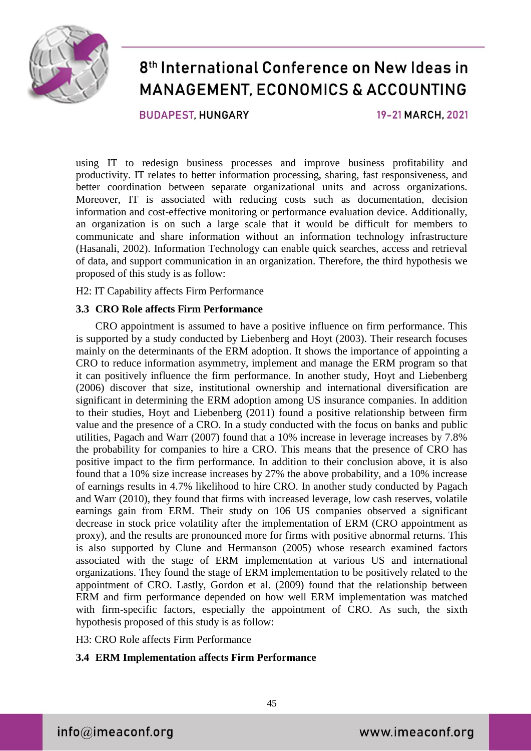

**BUDAPEST HUNGARY** 

19-21 MARCH, 2021

using IT to redesign business processes and improve business profitability and productivity. IT relates to better information processing, sharing, fast responsiveness, and better coordination between separate organizational units and across organizations. Moreover, IT is associated with reducing costs such as documentation, decision information and cost-effective monitoring or performance evaluation device. Additionally, an organization is on such a large scale that it would be difficult for members to communicate and share information without an information technology infrastructure (Hasanali, 2002). Information Technology can enable quick searches, access and retrieval of data, and support communication in an organization. Therefore, the third hypothesis we proposed of this study is as follow:

H2: IT Capability affects Firm Performance

#### **3.3 CRO Role affects Firm Performance**

CRO appointment is assumed to have a positive influence on firm performance. This is supported by a study conducted by Liebenberg and Hoyt (2003). Their research focuses mainly on the determinants of the ERM adoption. It shows the importance of appointing a CRO to reduce information asymmetry, implement and manage the ERM program so that it can positively influence the firm performance. In another study, Hoyt and Liebenberg (2006) discover that size, institutional ownership and international diversification are significant in determining the ERM adoption among US insurance companies. In addition to their studies, Hoyt and Liebenberg (2011) found a positive relationship between firm value and the presence of a CRO. In a study conducted with the focus on banks and public utilities, Pagach and Warr (2007) found that a 10% increase in leverage increases by 7.8% the probability for companies to hire a CRO. This means that the presence of CRO has positive impact to the firm performance. In addition to their conclusion above, it is also found that a 10% size increase increases by 27% the above probability, and a 10% increase of earnings results in 4.7% likelihood to hire CRO. In another study conducted by Pagach and Warr (2010), they found that firms with increased leverage, low cash reserves, volatile earnings gain from ERM. Their study on 106 US companies observed a significant decrease in stock price volatility after the implementation of ERM (CRO appointment as proxy), and the results are pronounced more for firms with positive abnormal returns. This is also supported by Clune and Hermanson (2005) whose research examined factors associated with the stage of ERM implementation at various US and international organizations. They found the stage of ERM implementation to be positively related to the appointment of CRO. Lastly, Gordon et al. (2009) found that the relationship between ERM and firm performance depended on how well ERM implementation was matched with firm-specific factors, especially the appointment of CRO. As such, the sixth hypothesis proposed of this study is as follow:

H3: CRO Role affects Firm Performance

#### **3.4 ERM Implementation affects Firm Performance**

 $info@$ imeaconf.org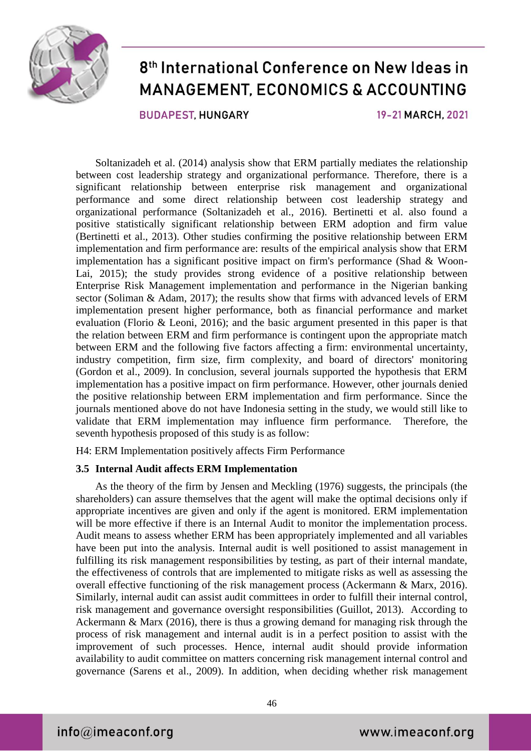

**BUDAPEST HUNGARY** 

19-21 MARCH, 2021

Soltanizadeh et al. (2014) analysis show that ERM partially mediates the relationship between cost leadership strategy and organizational performance. Therefore, there is a significant relationship between enterprise risk management and organizational performance and some direct relationship between cost leadership strategy and organizational performance (Soltanizadeh et al., 2016). Bertinetti et al. also found a positive statistically significant relationship between ERM adoption and firm value (Bertinetti et al., 2013). Other studies confirming the positive relationship between ERM implementation and firm performance are: results of the empirical analysis show that ERM implementation has a significant positive impact on firm's performance (Shad & Woon-Lai, 2015); the study provides strong evidence of a positive relationship between Enterprise Risk Management implementation and performance in the Nigerian banking sector (Soliman & Adam, 2017); the results show that firms with advanced levels of ERM implementation present higher performance, both as financial performance and market evaluation (Florio & Leoni, 2016); and the basic argument presented in this paper is that the relation between ERM and firm performance is contingent upon the appropriate match between ERM and the following five factors affecting a firm: environmental uncertainty, industry competition, firm size, firm complexity, and board of directors' monitoring (Gordon et al., 2009). In conclusion, several journals supported the hypothesis that ERM implementation has a positive impact on firm performance. However, other journals denied the positive relationship between ERM implementation and firm performance. Since the journals mentioned above do not have Indonesia setting in the study, we would still like to validate that ERM implementation may influence firm performance. Therefore, the seventh hypothesis proposed of this study is as follow:

H4: ERM Implementation positively affects Firm Performance

#### **3.5 Internal Audit affects ERM Implementation**

As the theory of the firm by Jensen and Meckling (1976) suggests, the principals (the shareholders) can assure themselves that the agent will make the optimal decisions only if appropriate incentives are given and only if the agent is monitored. ERM implementation will be more effective if there is an Internal Audit to monitor the implementation process. Audit means to assess whether ERM has been appropriately implemented and all variables have been put into the analysis. Internal audit is well positioned to assist management in fulfilling its risk management responsibilities by testing, as part of their internal mandate, the effectiveness of controls that are implemented to mitigate risks as well as assessing the overall effective functioning of the risk management process (Ackermann & Marx, 2016). Similarly, internal audit can assist audit committees in order to fulfill their internal control, risk management and governance oversight responsibilities (Guillot, 2013). According to Ackermann & Marx (2016), there is thus a growing demand for managing risk through the process of risk management and internal audit is in a perfect position to assist with the improvement of such processes. Hence, internal audit should provide information availability to audit committee on matters concerning risk management internal control and governance (Sarens et al., 2009). In addition, when deciding whether risk management

 $info@$ imeaconf.org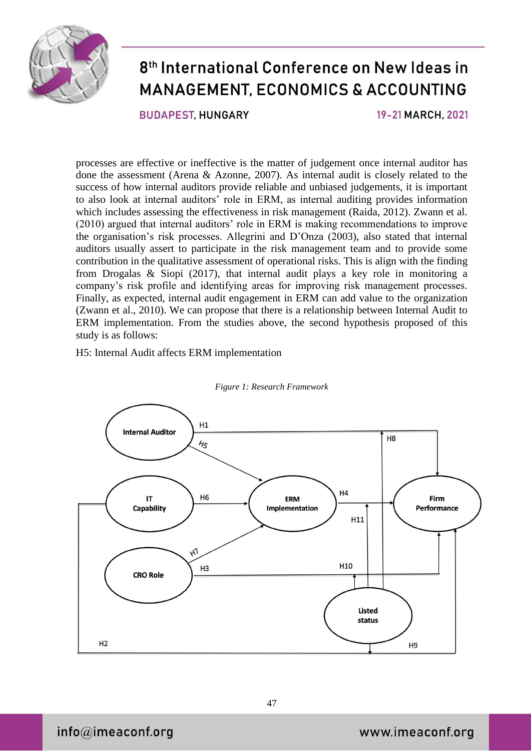

**BUDAPEST HUNGARY** 

19-21 MARCH, 2021

processes are effective or ineffective is the matter of judgement once internal auditor has done the assessment (Arena & Azonne, 2007). As internal audit is closely related to the success of how internal auditors provide reliable and unbiased judgements, it is important to also look at internal auditors' role in ERM, as internal auditing provides information which includes assessing the effectiveness in risk management (Raida, 2012). Zwann et al. (2010) argued that internal auditors' role in ERM is making recommendations to improve the organisation's risk processes. Allegrini and D'Onza (2003), also stated that internal auditors usually assert to participate in the risk management team and to provide some contribution in the qualitative assessment of operational risks. This is align with the finding from Drogalas & Siopi (2017), that internal audit plays a key role in monitoring a company's risk profile and identifying areas for improving risk management processes. Finally, as expected, internal audit engagement in ERM can add value to the organization (Zwann et al., 2010). We can propose that there is a relationship between Internal Audit to ERM implementation. From the studies above, the second hypothesis proposed of this study is as follows:

H5: Internal Audit affects ERM implementation



#### *Figure 1: Research Framework*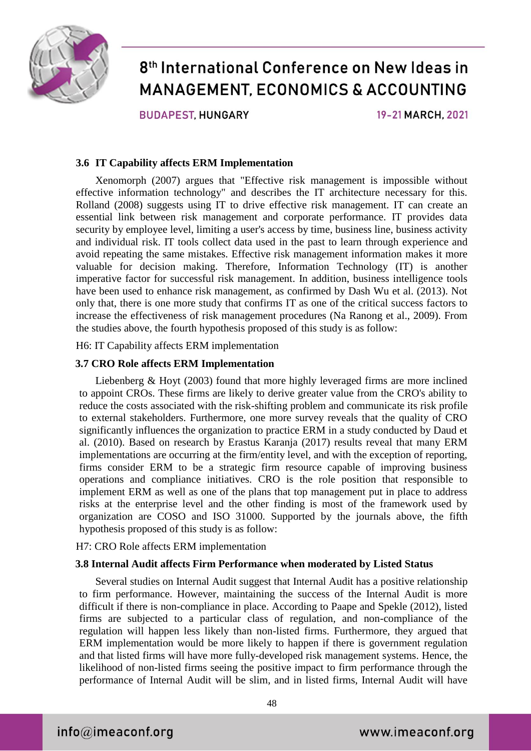

**BUDAPEST HUNGARY** 

19-21 MARCH, 2021

#### **3.6 IT Capability affects ERM Implementation**

Xenomorph (2007) argues that "Effective risk management is impossible without effective information technology" and describes the IT architecture necessary for this. Rolland (2008) suggests using IT to drive effective risk management. IT can create an essential link between risk management and corporate performance. IT provides data security by employee level, limiting a user's access by time, business line, business activity and individual risk. IT tools collect data used in the past to learn through experience and avoid repeating the same mistakes. Effective risk management information makes it more valuable for decision making. Therefore, Information Technology (IT) is another imperative factor for successful risk management. In addition, business intelligence tools have been used to enhance risk management, as confirmed by Dash Wu et al. (2013). Not only that, there is one more study that confirms IT as one of the critical success factors to increase the effectiveness of risk management procedures (Na Ranong et al., 2009). From the studies above, the fourth hypothesis proposed of this study is as follow:

H6: IT Capability affects ERM implementation

#### **3.7 CRO Role affects ERM Implementation**

Liebenberg & Hoyt (2003) found that more highly leveraged firms are more inclined to appoint CROs. These firms are likely to derive greater value from the CRO's ability to reduce the costs associated with the risk-shifting problem and communicate its risk profile to external stakeholders. Furthermore, one more survey reveals that the quality of CRO significantly influences the organization to practice ERM in a study conducted by Daud et al. (2010). Based on research by Erastus Karanja (2017) results reveal that many ERM implementations are occurring at the firm/entity level, and with the exception of reporting, firms consider ERM to be a strategic firm resource capable of improving business operations and compliance initiatives. CRO is the role position that responsible to implement ERM as well as one of the plans that top management put in place to address risks at the enterprise level and the other finding is most of the framework used by organization are COSO and ISO 31000. Supported by the journals above, the fifth hypothesis proposed of this study is as follow:

#### H7: CRO Role affects ERM implementation

#### **3.8 Internal Audit affects Firm Performance when moderated by Listed Status**

Several studies on Internal Audit suggest that Internal Audit has a positive relationship to firm performance. However, maintaining the success of the Internal Audit is more difficult if there is non-compliance in place. According to Paape and Spekle (2012), listed firms are subjected to a particular class of regulation, and non-compliance of the regulation will happen less likely than non-listed firms. Furthermore, they argued that ERM implementation would be more likely to happen if there is government regulation and that listed firms will have more fully-developed risk management systems. Hence, the likelihood of non-listed firms seeing the positive impact to firm performance through the performance of Internal Audit will be slim, and in listed firms, Internal Audit will have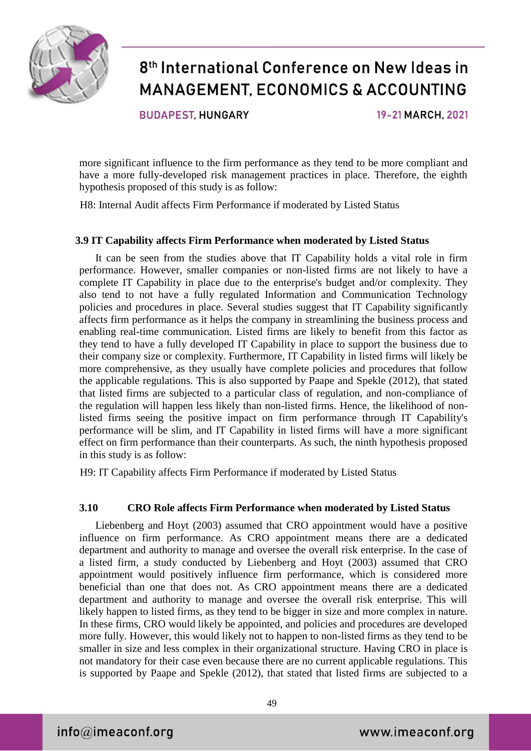

**BUDAPEST HUNGARY** 

19-21 MARCH, 2021

more significant influence to the firm performance as they tend to be more compliant and have a more fully-developed risk management practices in place. Therefore, the eighth hypothesis proposed of this study is as follow:

H8: Internal Audit affects Firm Performance if moderated by Listed Status

#### **3.9 IT Capability affects Firm Performance when moderated by Listed Status**

It can be seen from the studies above that IT Capability holds a vital role in firm performance. However, smaller companies or non-listed firms are not likely to have a complete IT Capability in place due to the enterprise's budget and/or complexity. They also tend to not have a fully regulated Information and Communication Technology policies and procedures in place. Several studies suggest that IT Capability significantly affects firm performance as it helps the company in streamlining the business process and enabling real-time communication. Listed firms are likely to benefit from this factor as they tend to have a fully developed IT Capability in place to support the business due to their company size or complexity. Furthermore, IT Capability in listed firms will likely be more comprehensive, as they usually have complete policies and procedures that follow the applicable regulations. This is also supported by Paape and Spekle (2012), that stated that listed firms are subjected to a particular class of regulation, and non-compliance of the regulation will happen less likely than non-listed firms. Hence, the likelihood of nonlisted firms seeing the positive impact on firm performance through IT Capability's performance will be slim, and IT Capability in listed firms will have a more significant effect on firm performance than their counterparts. As such, the ninth hypothesis proposed in this study is as follow:

H9: IT Capability affects Firm Performance if moderated by Listed Status

#### **3.10 CRO Role affects Firm Performance when moderated by Listed Status**

Liebenberg and Hoyt (2003) assumed that CRO appointment would have a positive influence on firm performance. As CRO appointment means there are a dedicated department and authority to manage and oversee the overall risk enterprise. In the case of a listed firm, a study conducted by Liebenberg and Hoyt (2003) assumed that CRO appointment would positively influence firm performance, which is considered more beneficial than one that does not. As CRO appointment means there are a dedicated department and authority to manage and oversee the overall risk enterprise. This will likely happen to listed firms, as they tend to be bigger in size and more complex in nature. In these firms, CRO would likely be appointed, and policies and procedures are developed more fully. However, this would likely not to happen to non-listed firms as they tend to be smaller in size and less complex in their organizational structure. Having CRO in place is not mandatory for their case even because there are no current applicable regulations. This is supported by Paape and Spekle (2012), that stated that listed firms are subjected to a

 $info@$ imeaconf.org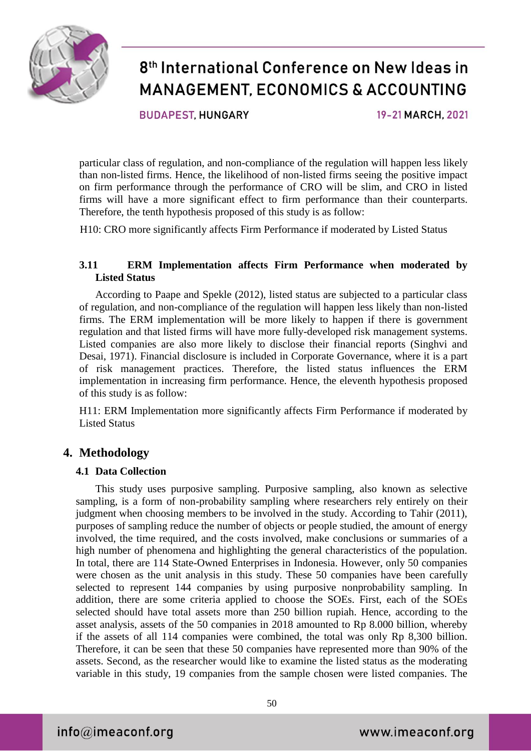

**BUDAPEST HUNGARY** 

19-21 MARCH, 2021

particular class of regulation, and non-compliance of the regulation will happen less likely than non-listed firms. Hence, the likelihood of non-listed firms seeing the positive impact on firm performance through the performance of CRO will be slim, and CRO in listed firms will have a more significant effect to firm performance than their counterparts. Therefore, the tenth hypothesis proposed of this study is as follow:

H10: CRO more significantly affects Firm Performance if moderated by Listed Status

#### **3.11 ERM Implementation affects Firm Performance when moderated by Listed Status**

According to Paape and Spekle (2012), listed status are subjected to a particular class of regulation, and non-compliance of the regulation will happen less likely than non-listed firms. The ERM implementation will be more likely to happen if there is government regulation and that listed firms will have more fully-developed risk management systems. Listed companies are also more likely to disclose their financial reports (Singhvi and Desai, 1971). Financial disclosure is included in Corporate Governance, where it is a part of risk management practices. Therefore, the listed status influences the ERM implementation in increasing firm performance. Hence, the eleventh hypothesis proposed of this study is as follow:

H11: ERM Implementation more significantly affects Firm Performance if moderated by Listed Status

### **4. Methodology**

#### **4.1 Data Collection**

This study uses purposive sampling. Purposive sampling, also known as selective sampling, is a form of non-probability sampling where researchers rely entirely on their judgment when choosing members to be involved in the study. According to Tahir (2011), purposes of sampling reduce the number of objects or people studied, the amount of energy involved, the time required, and the costs involved, make conclusions or summaries of a high number of phenomena and highlighting the general characteristics of the population. In total, there are 114 State-Owned Enterprises in Indonesia. However, only 50 companies were chosen as the unit analysis in this study. These 50 companies have been carefully selected to represent 144 companies by using purposive nonprobability sampling. In addition, there are some criteria applied to choose the SOEs. First, each of the SOEs selected should have total assets more than 250 billion rupiah. Hence, according to the asset analysis, assets of the 50 companies in 2018 amounted to Rp 8.000 billion, whereby if the assets of all 114 companies were combined, the total was only Rp 8,300 billion. Therefore, it can be seen that these 50 companies have represented more than 90% of the assets. Second, as the researcher would like to examine the listed status as the moderating variable in this study, 19 companies from the sample chosen were listed companies. The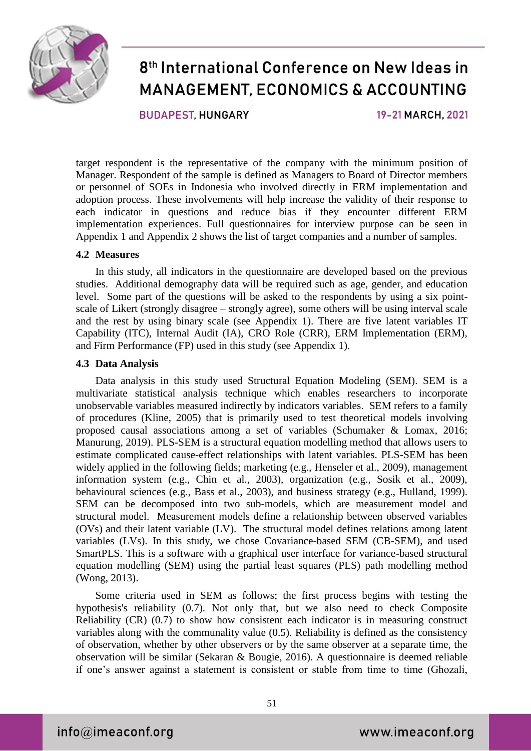

**BUDAPEST HUNGARY** 

19-21 MARCH, 2021

target respondent is the representative of the company with the minimum position of Manager. Respondent of the sample is defined as Managers to Board of Director members or personnel of SOEs in Indonesia who involved directly in ERM implementation and adoption process. These involvements will help increase the validity of their response to each indicator in questions and reduce bias if they encounter different ERM implementation experiences. Full questionnaires for interview purpose can be seen in Appendix 1 and Appendix 2 shows the list of target companies and a number of samples.

#### **4.2 Measures**

In this study, all indicators in the questionnaire are developed based on the previous studies. Additional demography data will be required such as age, gender, and education level. Some part of the questions will be asked to the respondents by using a six pointscale of Likert (strongly disagree – strongly agree), some others will be using interval scale and the rest by using binary scale (see Appendix 1). There are five latent variables IT Capability (ITC), Internal Audit (IA), CRO Role (CRR), ERM Implementation (ERM), and Firm Performance (FP) used in this study (see Appendix 1).

#### **4.3 Data Analysis**

Data analysis in this study used Structural Equation Modeling (SEM). SEM is a multivariate statistical analysis technique which enables researchers to incorporate unobservable variables measured indirectly by indicators variables. SEM refers to a family of procedures (Kline, 2005) that is primarily used to test theoretical models involving proposed causal associations among a set of variables (Schumaker & Lomax, 2016; Manurung, 2019). PLS-SEM is a structural equation modelling method that allows users to estimate complicated cause-effect relationships with latent variables. PLS-SEM has been widely applied in the following fields; marketing (e.g., Henseler et al., 2009), management information system (e.g., Chin et al., 2003), organization (e.g., Sosik et al., 2009), behavioural sciences (e.g., Bass et al., 2003), and business strategy (e.g., Hulland, 1999). SEM can be decomposed into two sub-models, which are measurement model and structural model. Measurement models define a relationship between observed variables (OVs) and their latent variable (LV). The structural model defines relations among latent variables (LVs). In this study, we chose Covariance-based SEM (CB-SEM), and used SmartPLS. This is a software with a graphical user interface for variance-based structural equation modelling (SEM) using the partial least squares (PLS) path modelling method (Wong, 2013).

Some criteria used in SEM as follows; the first process begins with testing the hypothesis's reliability (0.7). Not only that, but we also need to check Composite Reliability (CR) (0.7) to show how consistent each indicator is in measuring construct variables along with the communality value (0.5). Reliability is defined as the consistency of observation, whether by other observers or by the same observer at a separate time, the observation will be similar (Sekaran & Bougie, 2016). A questionnaire is deemed reliable if one's answer against a statement is consistent or stable from time to time (Ghozali,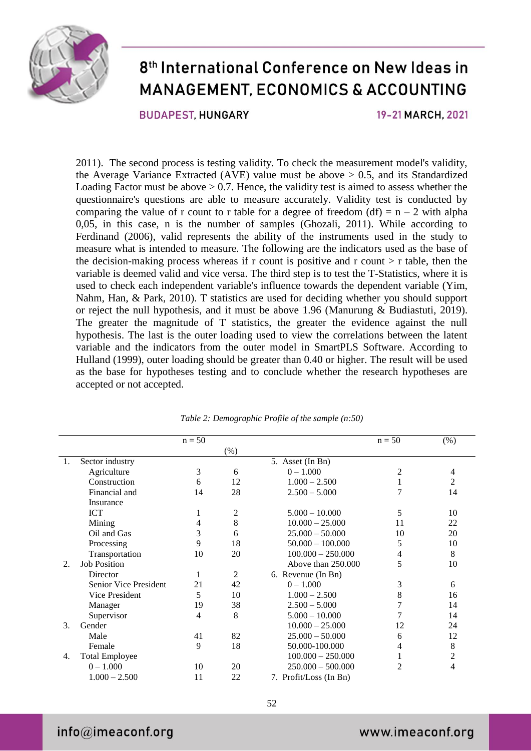

**BUDAPEST HUNGARY** 

19-21 MARCH, 2021

2011). The second process is testing validity. To check the measurement model's validity, the Average Variance Extracted (AVE) value must be above  $> 0.5$ , and its Standardized Loading Factor must be above  $> 0.7$ . Hence, the validity test is aimed to assess whether the questionnaire's questions are able to measure accurately. Validity test is conducted by comparing the value of r count to r table for a degree of freedom  $(df) = n - 2$  with alpha 0,05, in this case, n is the number of samples (Ghozali, 2011). While according to Ferdinand (2006), valid represents the ability of the instruments used in the study to measure what is intended to measure. The following are the indicators used as the base of the decision-making process whereas if r count is positive and r count  $>$  r table, then the variable is deemed valid and vice versa. The third step is to test the T-Statistics, where it is used to check each independent variable's influence towards the dependent variable (Yim, Nahm, Han, & Park, 2010). T statistics are used for deciding whether you should support or reject the null hypothesis, and it must be above 1.96 (Manurung & Budiastuti, 2019). The greater the magnitude of T statistics, the greater the evidence against the null hypothesis. The last is the outer loading used to view the correlations between the latent variable and the indicators from the outer model in SmartPLS Software. According to Hulland (1999), outer loading should be greater than 0.40 or higher. The result will be used as the base for hypotheses testing and to conclude whether the research hypotheses are accepted or not accepted.

|    |                       | $n = 50$ |      |                        | $n = 50$ | (% )           |
|----|-----------------------|----------|------|------------------------|----------|----------------|
|    |                       |          | (% ) |                        |          |                |
| 1. | Sector industry       |          |      | 5. Asset (In Bn)       |          |                |
|    | Agriculture           | 3        | 6    | $0 - 1.000$            | 2        | 4              |
|    | Construction          | 6        | 12   | $1.000 - 2.500$        |          | 2              |
|    | Financial and         | 14       | 28   | $2.500 - 5.000$        |          | 14             |
|    | Insurance             |          |      |                        |          |                |
|    | <b>ICT</b>            |          | 2    | $5.000 - 10.000$       | 5        | 10             |
|    | Mining                | 4        | 8    | $10.000 - 25.000$      | 11       | 22             |
|    | Oil and Gas           | 3        | 6    | $25.000 - 50.000$      | 10       | 20             |
|    | Processing            | 9        | 18   | $50.000 - 100.000$     | 5        | 10             |
|    | Transportation        | 10       | 20   | $100.000 - 250.000$    | 4        | 8              |
| 2. | <b>Job Position</b>   |          |      | Above than 250,000     | 5        | 10             |
|    | Director              |          | 2    | 6. Revenue (In Bn)     |          |                |
|    | Senior Vice President | 21       | 42   | $0 - 1.000$            | 3        | 6              |
|    | Vice President        | 5        | 10   | $1.000 - 2.500$        | 8        | 16             |
|    | Manager               | 19       | 38   | $2.500 - 5.000$        |          | 14             |
|    | Supervisor            | 4        | 8    | $5.000 - 10.000$       |          | 14             |
| 3. | Gender                |          |      | $10.000 - 25.000$      | 12       | 24             |
|    | Male                  | 41       | 82   | $25.000 - 50.000$      | 6        | 12             |
|    | Female                | 9        | 18   | 50.000-100.000         | 4        | 8              |
| 4. | <b>Total Employee</b> |          |      | $100.000 - 250.000$    |          | $\overline{c}$ |
|    | $0 - 1.000$           | 10       | 20   | $250.000 - 500.000$    | 2        | 4              |
|    | $1.000 - 2.500$       | 11       | 22   | 7. Profit/Loss (In Bn) |          |                |

*Table 2: Demographic Profile of the sample (n:50)*

52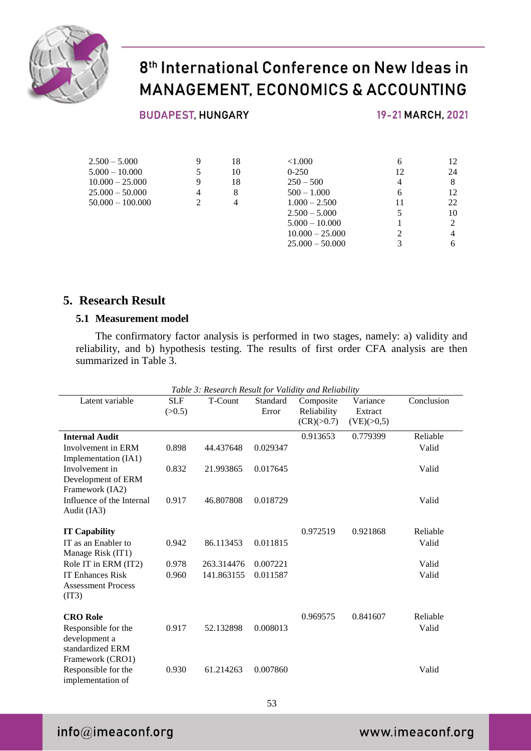

#### **BUDAPEST, HUNGARY**

19-21 MARCH, 2021

| $2.500 - 5.000$    | 9 | 18 | ${<}1.000$        | <sub>b</sub> | 12 |
|--------------------|---|----|-------------------|--------------|----|
| $5.000 - 10.000$   | 5 | 10 | $0 - 250$         | 12           | 24 |
| $10.000 - 25.000$  | 9 | 18 | $250 - 500$       | 4            | 8  |
| $25.000 - 50.000$  | 4 | 8  | $500 - 1.000$     | 6            | 12 |
| $50.000 - 100.000$ | 2 | 4  | $1.000 - 2.500$   | 11           | 22 |
|                    |   |    | $2.500 - 5.000$   |              | 10 |
|                    |   |    | $5.000 - 10.000$  |              |    |
|                    |   |    | $10.000 - 25.000$ |              |    |
|                    |   |    | $25.000 - 50.000$ |              |    |

#### **5. Research Result**

#### **5.1 Measurement model**

The confirmatory factor analysis is performed in two stages, namely: a) validity and reliability, and b) hypothesis testing. The results of first order CFA analysis are then summarized in Table 3.

| Table 3: Research Result for Validity and Reliability                        |            |            |          |             |            |            |
|------------------------------------------------------------------------------|------------|------------|----------|-------------|------------|------------|
| Latent variable                                                              | <b>SLF</b> | T-Count    | Standard | Composite   | Variance   | Conclusion |
|                                                                              | (>0.5)     |            | Error    | Reliability | Extract    |            |
|                                                                              |            |            |          | (CR)(>0.7)  | (VE)(>0,5) |            |
| <b>Internal Audit</b>                                                        |            |            |          | 0.913653    | 0.779399   | Reliable   |
| Involvement in ERM<br>Implementation (IA1)                                   | 0.898      | 44.437648  | 0.029347 |             |            | Valid      |
| Involvement in                                                               | 0.832      | 21.993865  | 0.017645 |             |            | Valid      |
| Development of ERM<br>Framework (IA2)                                        |            |            |          |             |            |            |
| Influence of the Internal<br>Audit (IA3)                                     | 0.917      | 46.807808  | 0.018729 |             |            | Valid      |
| <b>IT Capability</b>                                                         |            |            |          | 0.972519    | 0.921868   | Reliable   |
| IT as an Enabler to                                                          | 0.942      | 86.113453  | 0.011815 |             |            | Valid      |
| Manage Risk (IT1)                                                            |            |            |          |             |            |            |
| Role IT in ERM (IT2)                                                         | 0.978      | 263.314476 | 0.007221 |             |            | Valid      |
| <b>IT Enhances Risk</b><br><b>Assessment Process</b><br>(IT3)                | 0.960      | 141.863155 | 0.011587 |             |            | Valid      |
| <b>CRO</b> Role                                                              |            |            |          | 0.969575    | 0.841607   | Reliable   |
| Responsible for the<br>development a<br>standardized ERM<br>Framework (CRO1) | 0.917      | 52.132898  | 0.008013 |             |            | Valid      |
| Responsible for the<br>implementation of                                     | 0.930      | 61.214263  | 0.007860 |             |            | Valid      |

### info@imeaconf.org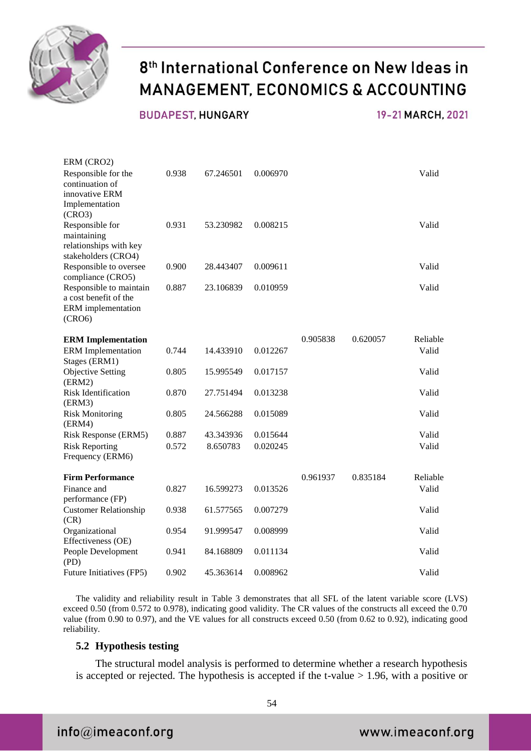

**BUDAPEST, HUNGARY** 

19-21 MARCH, 2021

| ERM (CRO2)                                                                           |       |           |          |          |          |          |
|--------------------------------------------------------------------------------------|-------|-----------|----------|----------|----------|----------|
| Responsible for the<br>continuation of<br>innovative ERM<br>Implementation<br>(CRO3) | 0.938 | 67.246501 | 0.006970 |          |          | Valid    |
| Responsible for<br>maintaining<br>relationships with key<br>stakeholders (CRO4)      | 0.931 | 53.230982 | 0.008215 |          |          | Valid    |
| Responsible to oversee<br>compliance (CRO5)                                          | 0.900 | 28.443407 | 0.009611 |          |          | Valid    |
| Responsible to maintain<br>a cost benefit of the<br>ERM implementation<br>(CRO6)     | 0.887 | 23.106839 | 0.010959 |          |          | Valid    |
| <b>ERM</b> Implementation                                                            |       |           |          | 0.905838 | 0.620057 | Reliable |
| <b>ERM</b> Implementation<br>Stages (ERM1)                                           | 0.744 | 14.433910 | 0.012267 |          |          | Valid    |
| <b>Objective Setting</b><br>(ERM2)                                                   | 0.805 | 15.995549 | 0.017157 |          |          | Valid    |
| <b>Risk Identification</b><br>(ERM3)                                                 | 0.870 | 27.751494 | 0.013238 |          |          | Valid    |
| <b>Risk Monitoring</b><br>(ERM4)                                                     | 0.805 | 24.566288 | 0.015089 |          |          | Valid    |
| Risk Response (ERM5)                                                                 | 0.887 | 43.343936 | 0.015644 |          |          | Valid    |
| <b>Risk Reporting</b><br>Frequency (ERM6)                                            | 0.572 | 8.650783  | 0.020245 |          |          | Valid    |
| <b>Firm Performance</b>                                                              |       |           |          | 0.961937 | 0.835184 | Reliable |
| Finance and<br>performance (FP)                                                      | 0.827 | 16.599273 | 0.013526 |          |          | Valid    |
| <b>Customer Relationship</b><br>(CR)                                                 | 0.938 | 61.577565 | 0.007279 |          |          | Valid    |
| Organizational<br>Effectiveness (OE)                                                 | 0.954 | 91.999547 | 0.008999 |          |          | Valid    |
| People Development<br>(PD)                                                           | 0.941 | 84.168809 | 0.011134 |          |          | Valid    |
| Future Initiatives (FP5)                                                             | 0.902 | 45.363614 | 0.008962 |          |          | Valid    |

The validity and reliability result in Table 3 demonstrates that all SFL of the latent variable score (LVS) exceed 0.50 (from 0.572 to 0.978), indicating good validity. The CR values of the constructs all exceed the 0.70 value (from 0.90 to 0.97), and the VE values for all constructs exceed 0.50 (from 0.62 to 0.92), indicating good reliability.

#### **5.2 Hypothesis testing**

The structural model analysis is performed to determine whether a research hypothesis is accepted or rejected. The hypothesis is accepted if the t-value  $> 1.96$ , with a positive or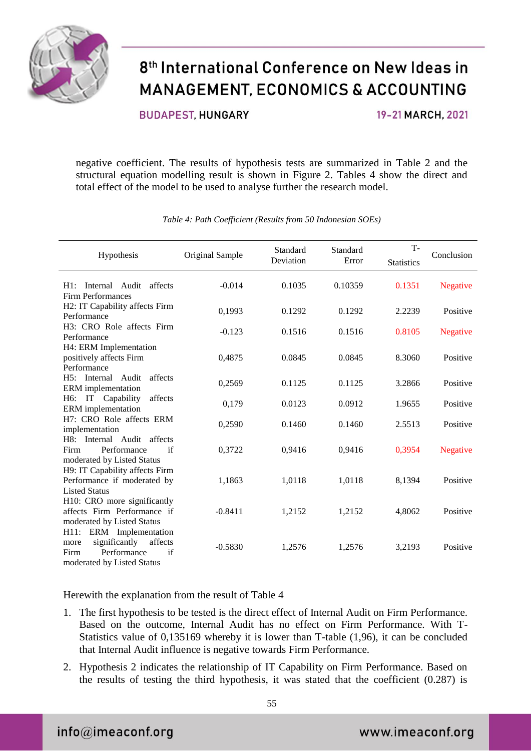

**BUDAPEST HUNGARY** 

19-21 MARCH, 2021

negative coefficient. The results of hypothesis tests are summarized in Table 2 and the structural equation modelling result is shown in Figure 2. Tables 4 show the direct and total effect of the model to be used to analyse further the research model.

|                                                                                                                        |                 | Standard  | Standard | $T -$             |                 |
|------------------------------------------------------------------------------------------------------------------------|-----------------|-----------|----------|-------------------|-----------------|
| Hypothesis                                                                                                             | Original Sample | Deviation | Error    | <b>Statistics</b> | Conclusion      |
| Internal Audit affects<br>$H1$ :<br>Firm Performances                                                                  | $-0.014$        | 0.1035    | 0.10359  | 0.1351            | <b>Negative</b> |
| H2: IT Capability affects Firm<br>Performance                                                                          | 0,1993          | 0.1292    | 0.1292   | 2.2239            | Positive        |
| H3: CRO Role affects Firm<br>Performance                                                                               | $-0.123$        | 0.1516    | 0.1516   | 0.8105            | <b>Negative</b> |
| H4: ERM Implementation<br>positively affects Firm<br>Performance                                                       | 0,4875          | 0.0845    | 0.0845   | 8.3060            | Positive        |
| H5: Internal Audit<br>affects<br>ERM implementation                                                                    | 0,2569          | 0.1125    | 0.1125   | 3.2866            | Positive        |
| H6:<br>IT<br>Capability<br>affects<br>ERM implementation                                                               | 0,179           | 0.0123    | 0.0912   | 1.9655            | Positive        |
| H7: CRO Role affects ERM<br>implementation                                                                             | 0,2590          | 0.1460    | 0.1460   | 2.5513            | Positive        |
| H8: Internal Audit affects<br>Performance<br>if<br>Firm<br>moderated by Listed Status                                  | 0,3722          | 0,9416    | 0,9416   | 0,3954            | <b>Negative</b> |
| H9: IT Capability affects Firm<br>Performance if moderated by<br><b>Listed Status</b>                                  | 1,1863          | 1,0118    | 1,0118   | 8,1394            | Positive        |
| H10: CRO more significantly<br>affects Firm Performance if<br>moderated by Listed Status                               | $-0.8411$       | 1,2152    | 1,2152   | 4,8062            | Positive        |
| H11: ERM Implementation<br>significantly<br>affects<br>more<br>Performance<br>if<br>Firm<br>moderated by Listed Status | $-0.5830$       | 1,2576    | 1,2576   | 3,2193            | Positive        |

*Table 4: Path Coefficient (Results from 50 Indonesian SOEs)*

Herewith the explanation from the result of Table 4

- 1. The first hypothesis to be tested is the direct effect of Internal Audit on Firm Performance. Based on the outcome, Internal Audit has no effect on Firm Performance. With T-Statistics value of 0,135169 whereby it is lower than T-table (1,96), it can be concluded that Internal Audit influence is negative towards Firm Performance.
- 2. Hypothesis 2 indicates the relationship of IT Capability on Firm Performance. Based on the results of testing the third hypothesis, it was stated that the coefficient (0.287) is

 $info@$ imeaconf.org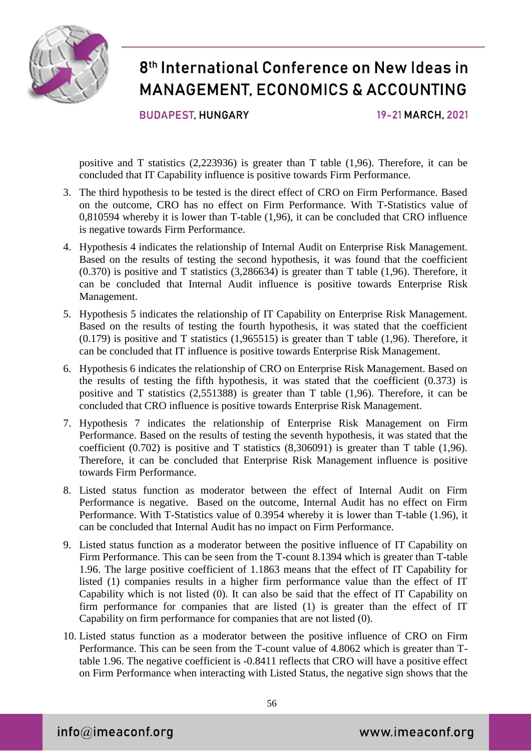

**BUDAPEST, HUNGARY** 

19-21 MARCH, 2021

positive and T statistics (2,223936) is greater than T table (1,96). Therefore, it can be concluded that IT Capability influence is positive towards Firm Performance.

- 3. The third hypothesis to be tested is the direct effect of CRO on Firm Performance. Based on the outcome, CRO has no effect on Firm Performance. With T-Statistics value of 0,810594 whereby it is lower than T-table (1,96), it can be concluded that CRO influence is negative towards Firm Performance.
- 4. Hypothesis 4 indicates the relationship of Internal Audit on Enterprise Risk Management. Based on the results of testing the second hypothesis, it was found that the coefficient (0.370) is positive and T statistics (3,286634) is greater than T table (1,96). Therefore, it can be concluded that Internal Audit influence is positive towards Enterprise Risk Management.
- 5. Hypothesis 5 indicates the relationship of IT Capability on Enterprise Risk Management. Based on the results of testing the fourth hypothesis, it was stated that the coefficient  $(0.179)$  is positive and T statistics  $(1,965515)$  is greater than T table  $(1,96)$ . Therefore, it can be concluded that IT influence is positive towards Enterprise Risk Management.
- 6. Hypothesis 6 indicates the relationship of CRO on Enterprise Risk Management. Based on the results of testing the fifth hypothesis, it was stated that the coefficient (0.373) is positive and T statistics (2,551388) is greater than T table (1,96). Therefore, it can be concluded that CRO influence is positive towards Enterprise Risk Management.
- 7. Hypothesis 7 indicates the relationship of Enterprise Risk Management on Firm Performance. Based on the results of testing the seventh hypothesis, it was stated that the coefficient (0.702) is positive and T statistics (8,306091) is greater than T table (1,96). Therefore, it can be concluded that Enterprise Risk Management influence is positive towards Firm Performance.
- 8. Listed status function as moderator between the effect of Internal Audit on Firm Performance is negative. Based on the outcome, Internal Audit has no effect on Firm Performance. With T-Statistics value of 0.3954 whereby it is lower than T-table (1.96), it can be concluded that Internal Audit has no impact on Firm Performance.
- 9. Listed status function as a moderator between the positive influence of IT Capability on Firm Performance. This can be seen from the T-count 8.1394 which is greater than T-table 1.96. The large positive coefficient of 1.1863 means that the effect of IT Capability for listed (1) companies results in a higher firm performance value than the effect of IT Capability which is not listed (0). It can also be said that the effect of IT Capability on firm performance for companies that are listed (1) is greater than the effect of IT Capability on firm performance for companies that are not listed (0).
- 10. Listed status function as a moderator between the positive influence of CRO on Firm Performance. This can be seen from the T-count value of 4.8062 which is greater than Ttable 1.96. The negative coefficient is -0.8411 reflects that CRO will have a positive effect on Firm Performance when interacting with Listed Status, the negative sign shows that the

 $info@$ imeaconf.org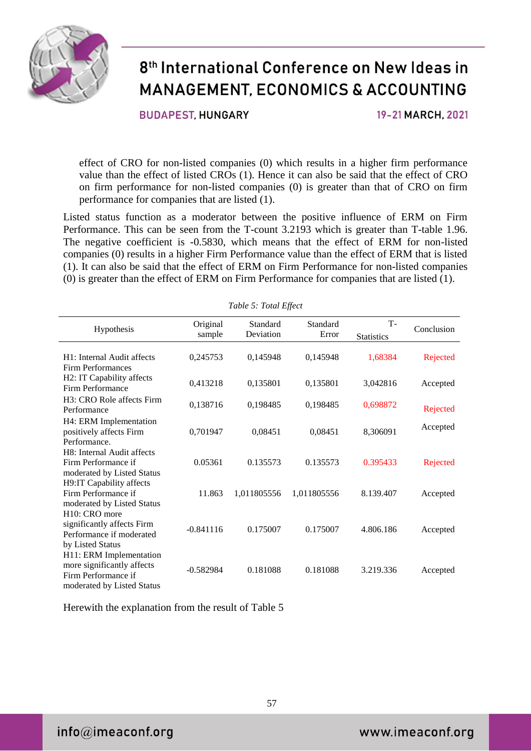

**BUDAPEST HUNGARY** 

19-21 MARCH, 2021

effect of CRO for non-listed companies (0) which results in a higher firm performance value than the effect of listed CROs (1). Hence it can also be said that the effect of CRO on firm performance for non-listed companies (0) is greater than that of CRO on firm performance for companies that are listed (1).

Listed status function as a moderator between the positive influence of ERM on Firm Performance. This can be seen from the T-count 3.2193 which is greater than T-table 1.96. The negative coefficient is -0.5830, which means that the effect of ERM for non-listed companies (0) results in a higher Firm Performance value than the effect of ERM that is listed (1). It can also be said that the effect of ERM on Firm Performance for non-listed companies (0) is greater than the effect of ERM on Firm Performance for companies that are listed (1).

*Table 5: Total Effect*

|                            |                    | Tuble 5. Tolui Liject |                   |                                |            |  |  |
|----------------------------|--------------------|-----------------------|-------------------|--------------------------------|------------|--|--|
| Hypothesis                 | Original<br>sample | Standard<br>Deviation | Standard<br>Error | <b>T-</b><br><b>Statistics</b> | Conclusion |  |  |
|                            |                    |                       |                   |                                |            |  |  |
| H1: Internal Audit affects | 0,245753           | 0,145948              | 0,145948          | 1,68384                        | Rejected   |  |  |
| <b>Firm Performances</b>   |                    |                       |                   |                                |            |  |  |
| H2: IT Capability affects  |                    |                       |                   |                                |            |  |  |
| Firm Performance           | 0,413218           | 0,135801              | 0,135801          | 3,042816                       | Accepted   |  |  |
| H3: CRO Role affects Firm  |                    |                       |                   |                                |            |  |  |
| Performance                | 0,138716           | 0,198485              | 0,198485          | 0,698872                       | Rejected   |  |  |
| H4: ERM Implementation     |                    |                       |                   |                                |            |  |  |
| positively affects Firm    | 0,701947           | 0,08451               | 0,08451           | 8,306091                       | Accepted   |  |  |
| Performance.               |                    |                       |                   |                                |            |  |  |
| H8: Internal Audit affects |                    |                       |                   |                                |            |  |  |
| Firm Performance if        | 0.05361            | 0.135573              | 0.135573          | 0.395433                       | Rejected   |  |  |
| moderated by Listed Status |                    |                       |                   |                                |            |  |  |
| H9:IT Capability affects   |                    |                       |                   |                                |            |  |  |
| Firm Performance if        | 11.863             | 1,011805556           | 1,011805556       | 8.139.407                      | Accepted   |  |  |
| moderated by Listed Status |                    |                       |                   |                                |            |  |  |
| H <sub>10</sub> : CRO more |                    |                       |                   |                                |            |  |  |
| significantly affects Firm | $-0.841116$        | 0.175007              | 0.175007          | 4.806.186                      | Accepted   |  |  |
| Performance if moderated   |                    |                       |                   |                                |            |  |  |
| by Listed Status           |                    |                       |                   |                                |            |  |  |
| H11: ERM Implementation    |                    |                       |                   |                                |            |  |  |
| more significantly affects | $-0.582984$        | 0.181088              | 0.181088          | 3.219.336                      | Accepted   |  |  |
| Firm Performance if        |                    |                       |                   |                                |            |  |  |
| moderated by Listed Status |                    |                       |                   |                                |            |  |  |

Herewith the explanation from the result of Table 5

 $info@$ imeaconf.org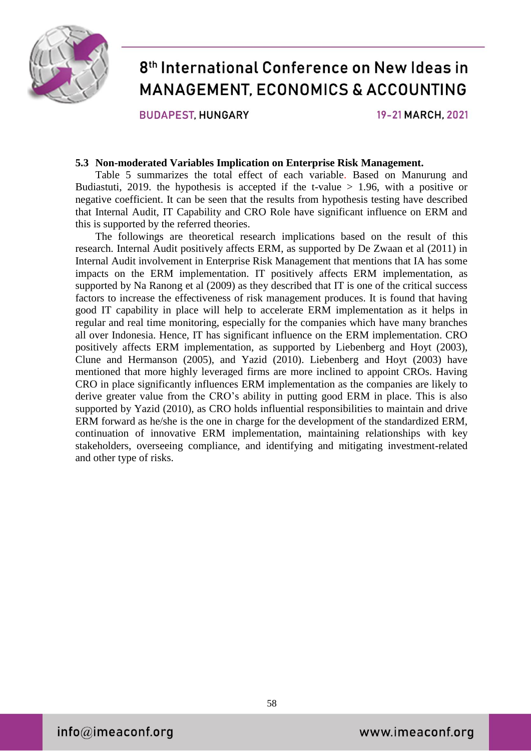

**BUDAPEST HUNGARY** 

19-21 MARCH, 2021

#### **5.3 Non-moderated Variables Implication on Enterprise Risk Management.**

Table 5 summarizes the total effect of each variable. Based on Manurung and Budiastuti, 2019. the hypothesis is accepted if the t-value  $> 1.96$ , with a positive or negative coefficient. It can be seen that the results from hypothesis testing have described that Internal Audit, IT Capability and CRO Role have significant influence on ERM and this is supported by the referred theories.

The followings are theoretical research implications based on the result of this research. Internal Audit positively affects ERM, as supported by De Zwaan et al (2011) in Internal Audit involvement in Enterprise Risk Management that mentions that IA has some impacts on the ERM implementation. IT positively affects ERM implementation, as supported by Na Ranong et al (2009) as they described that IT is one of the critical success factors to increase the effectiveness of risk management produces. It is found that having good IT capability in place will help to accelerate ERM implementation as it helps in regular and real time monitoring, especially for the companies which have many branches all over Indonesia. Hence, IT has significant influence on the ERM implementation. CRO positively affects ERM implementation, as supported by Liebenberg and Hoyt (2003), Clune and Hermanson (2005), and Yazid (2010). Liebenberg and Hoyt (2003) have mentioned that more highly leveraged firms are more inclined to appoint CROs. Having CRO in place significantly influences ERM implementation as the companies are likely to derive greater value from the CRO's ability in putting good ERM in place. This is also supported by Yazid (2010), as CRO holds influential responsibilities to maintain and drive ERM forward as he/she is the one in charge for the development of the standardized ERM, continuation of innovative ERM implementation, maintaining relationships with key stakeholders, overseeing compliance, and identifying and mitigating investment-related and other type of risks.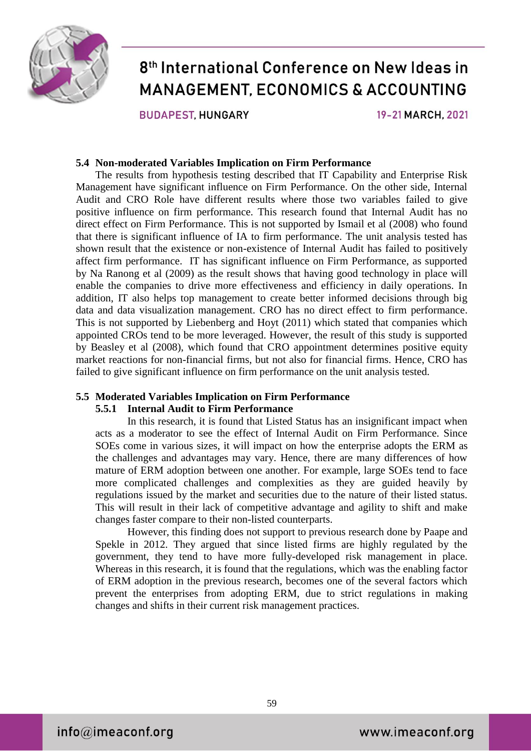

**BUDAPEST HUNGARY** 

19-21 MARCH, 2021

#### **5.4 Non-moderated Variables Implication on Firm Performance**

The results from hypothesis testing described that IT Capability and Enterprise Risk Management have significant influence on Firm Performance. On the other side, Internal Audit and CRO Role have different results where those two variables failed to give positive influence on firm performance. This research found that Internal Audit has no direct effect on Firm Performance. This is not supported by Ismail et al (2008) who found that there is significant influence of IA to firm performance. The unit analysis tested has shown result that the existence or non-existence of Internal Audit has failed to positively affect firm performance. IT has significant influence on Firm Performance, as supported by Na Ranong et al (2009) as the result shows that having good technology in place will enable the companies to drive more effectiveness and efficiency in daily operations. In addition, IT also helps top management to create better informed decisions through big data and data visualization management. CRO has no direct effect to firm performance. This is not supported by Liebenberg and Hoyt (2011) which stated that companies which appointed CROs tend to be more leveraged. However, the result of this study is supported by Beasley et al (2008), which found that CRO appointment determines positive equity market reactions for non-financial firms, but not also for financial firms. Hence, CRO has failed to give significant influence on firm performance on the unit analysis tested.

#### **5.5 Moderated Variables Implication on Firm Performance**

#### **5.5.1 Internal Audit to Firm Performance**

In this research, it is found that Listed Status has an insignificant impact when acts as a moderator to see the effect of Internal Audit on Firm Performance. Since SOEs come in various sizes, it will impact on how the enterprise adopts the ERM as the challenges and advantages may vary. Hence, there are many differences of how mature of ERM adoption between one another. For example, large SOEs tend to face more complicated challenges and complexities as they are guided heavily by regulations issued by the market and securities due to the nature of their listed status. This will result in their lack of competitive advantage and agility to shift and make changes faster compare to their non-listed counterparts.

However, this finding does not support to previous research done by Paape and Spekle in 2012. They argued that since listed firms are highly regulated by the government, they tend to have more fully-developed risk management in place. Whereas in this research, it is found that the regulations, which was the enabling factor of ERM adoption in the previous research, becomes one of the several factors which prevent the enterprises from adopting ERM, due to strict regulations in making changes and shifts in their current risk management practices.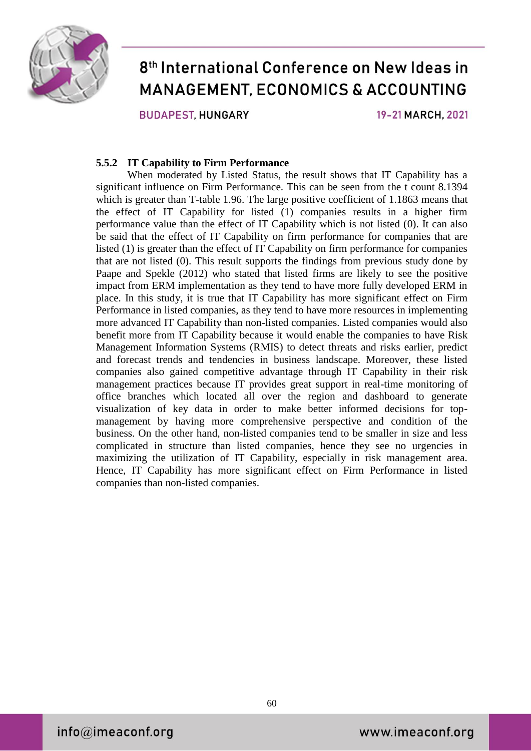

**BUDAPEST HUNGARY** 

19-21 MARCH, 2021

#### **5.5.2 IT Capability to Firm Performance**

When moderated by Listed Status, the result shows that IT Capability has a significant influence on Firm Performance. This can be seen from the t count 8.1394 which is greater than T-table 1.96. The large positive coefficient of 1.1863 means that the effect of IT Capability for listed (1) companies results in a higher firm performance value than the effect of IT Capability which is not listed (0). It can also be said that the effect of IT Capability on firm performance for companies that are listed (1) is greater than the effect of IT Capability on firm performance for companies that are not listed (0). This result supports the findings from previous study done by Paape and Spekle (2012) who stated that listed firms are likely to see the positive impact from ERM implementation as they tend to have more fully developed ERM in place. In this study, it is true that IT Capability has more significant effect on Firm Performance in listed companies, as they tend to have more resources in implementing more advanced IT Capability than non-listed companies. Listed companies would also benefit more from IT Capability because it would enable the companies to have Risk Management Information Systems (RMIS) to detect threats and risks earlier, predict and forecast trends and tendencies in business landscape. Moreover, these listed companies also gained competitive advantage through IT Capability in their risk management practices because IT provides great support in real-time monitoring of office branches which located all over the region and dashboard to generate visualization of key data in order to make better informed decisions for topmanagement by having more comprehensive perspective and condition of the business. On the other hand, non-listed companies tend to be smaller in size and less complicated in structure than listed companies, hence they see no urgencies in maximizing the utilization of IT Capability, especially in risk management area. Hence, IT Capability has more significant effect on Firm Performance in listed companies than non-listed companies.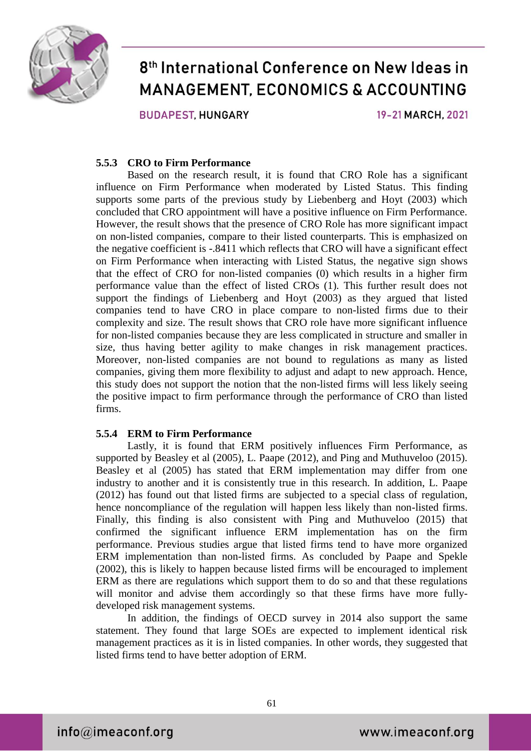

**BUDAPEST HUNGARY** 

19-21 MARCH, 2021

#### **5.5.3 CRO to Firm Performance**

Based on the research result, it is found that CRO Role has a significant influence on Firm Performance when moderated by Listed Status. This finding supports some parts of the previous study by Liebenberg and Hoyt (2003) which concluded that CRO appointment will have a positive influence on Firm Performance. However, the result shows that the presence of CRO Role has more significant impact on non-listed companies, compare to their listed counterparts. This is emphasized on the negative coefficient is -.8411 which reflects that CRO will have a significant effect on Firm Performance when interacting with Listed Status, the negative sign shows that the effect of CRO for non-listed companies (0) which results in a higher firm performance value than the effect of listed CROs (1). This further result does not support the findings of Liebenberg and Hoyt (2003) as they argued that listed companies tend to have CRO in place compare to non-listed firms due to their complexity and size. The result shows that CRO role have more significant influence for non-listed companies because they are less complicated in structure and smaller in size, thus having better agility to make changes in risk management practices. Moreover, non-listed companies are not bound to regulations as many as listed companies, giving them more flexibility to adjust and adapt to new approach. Hence, this study does not support the notion that the non-listed firms will less likely seeing the positive impact to firm performance through the performance of CRO than listed firms.

#### **5.5.4 ERM to Firm Performance**

Lastly, it is found that ERM positively influences Firm Performance, as supported by Beasley et al (2005), L. Paape (2012), and Ping and Muthuveloo (2015). Beasley et al (2005) has stated that ERM implementation may differ from one industry to another and it is consistently true in this research. In addition, L. Paape (2012) has found out that listed firms are subjected to a special class of regulation, hence noncompliance of the regulation will happen less likely than non-listed firms. Finally, this finding is also consistent with Ping and Muthuveloo (2015) that confirmed the significant influence ERM implementation has on the firm performance. Previous studies argue that listed firms tend to have more organized ERM implementation than non-listed firms. As concluded by Paape and Spekle (2002), this is likely to happen because listed firms will be encouraged to implement ERM as there are regulations which support them to do so and that these regulations will monitor and advise them accordingly so that these firms have more fullydeveloped risk management systems.

In addition, the findings of OECD survey in 2014 also support the same statement. They found that large SOEs are expected to implement identical risk management practices as it is in listed companies. In other words, they suggested that listed firms tend to have better adoption of ERM.

 $info@$ imeaconf.org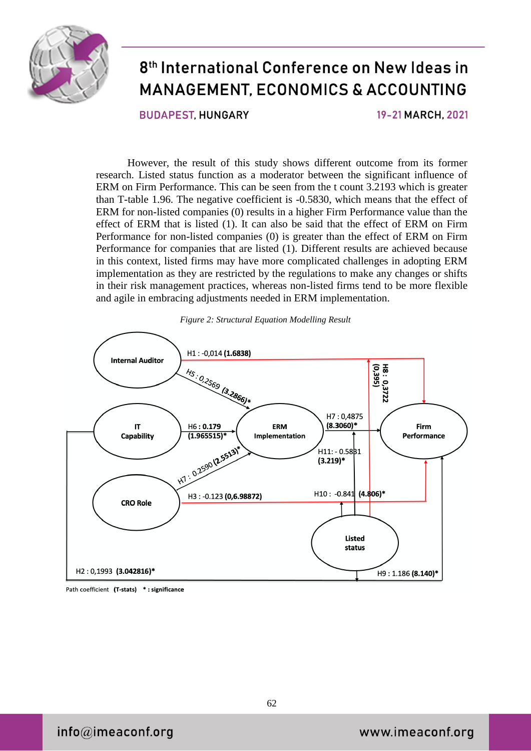

**BUDAPEST HUNGARY** 

19-21 MARCH, 2021

However, the result of this study shows different outcome from its former research. Listed status function as a moderator between the significant influence of ERM on Firm Performance. This can be seen from the t count 3.2193 which is greater than T-table 1.96. The negative coefficient is -0.5830, which means that the effect of ERM for non-listed companies (0) results in a higher Firm Performance value than the effect of ERM that is listed (1). It can also be said that the effect of ERM on Firm Performance for non-listed companies (0) is greater than the effect of ERM on Firm Performance for companies that are listed (1). Different results are achieved because in this context, listed firms may have more complicated challenges in adopting ERM implementation as they are restricted by the regulations to make any changes or shifts in their risk management practices, whereas non-listed firms tend to be more flexible and agile in embracing adjustments needed in ERM implementation.



*Figure 2: Structural Equation Modelling Result*

Path coefficient (T-stats) \*: significance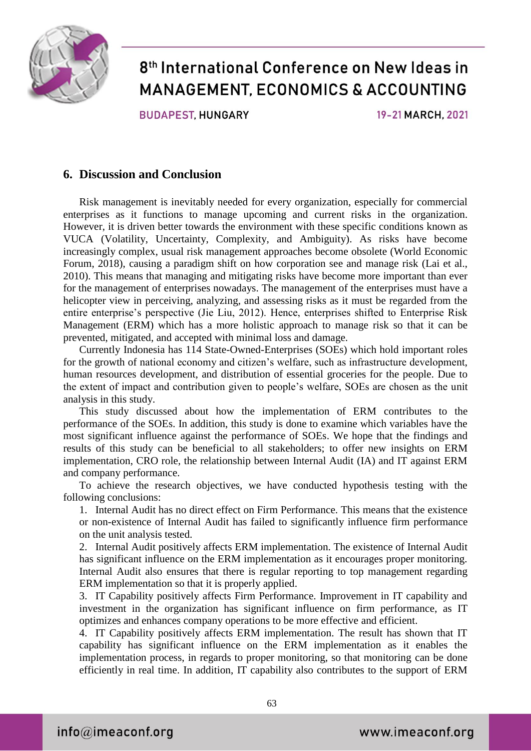

**BUDAPEST HUNGARY** 

19-21 MARCH, 2021

### **6. Discussion and Conclusion**

Risk management is inevitably needed for every organization, especially for commercial enterprises as it functions to manage upcoming and current risks in the organization. However, it is driven better towards the environment with these specific conditions known as VUCA (Volatility, Uncertainty, Complexity, and Ambiguity). As risks have become increasingly complex, usual risk management approaches become obsolete (World Economic Forum, 2018), causing a paradigm shift on how corporation see and manage risk (Lai et al., 2010). This means that managing and mitigating risks have become more important than ever for the management of enterprises nowadays. The management of the enterprises must have a helicopter view in perceiving, analyzing, and assessing risks as it must be regarded from the entire enterprise's perspective (Jie Liu, 2012). Hence, enterprises shifted to Enterprise Risk Management (ERM) which has a more holistic approach to manage risk so that it can be prevented, mitigated, and accepted with minimal loss and damage.

Currently Indonesia has 114 State-Owned-Enterprises (SOEs) which hold important roles for the growth of national economy and citizen's welfare, such as infrastructure development, human resources development, and distribution of essential groceries for the people. Due to the extent of impact and contribution given to people's welfare, SOEs are chosen as the unit analysis in this study.

This study discussed about how the implementation of ERM contributes to the performance of the SOEs. In addition, this study is done to examine which variables have the most significant influence against the performance of SOEs. We hope that the findings and results of this study can be beneficial to all stakeholders; to offer new insights on ERM implementation, CRO role, the relationship between Internal Audit (IA) and IT against ERM and company performance.

To achieve the research objectives, we have conducted hypothesis testing with the following conclusions:

1. Internal Audit has no direct effect on Firm Performance. This means that the existence or non-existence of Internal Audit has failed to significantly influence firm performance on the unit analysis tested.

2. Internal Audit positively affects ERM implementation. The existence of Internal Audit has significant influence on the ERM implementation as it encourages proper monitoring. Internal Audit also ensures that there is regular reporting to top management regarding ERM implementation so that it is properly applied.

3. IT Capability positively affects Firm Performance. Improvement in IT capability and investment in the organization has significant influence on firm performance, as IT optimizes and enhances company operations to be more effective and efficient.

4. IT Capability positively affects ERM implementation. The result has shown that IT capability has significant influence on the ERM implementation as it enables the implementation process, in regards to proper monitoring, so that monitoring can be done efficiently in real time. In addition, IT capability also contributes to the support of ERM

 $info@$ imeaconf.org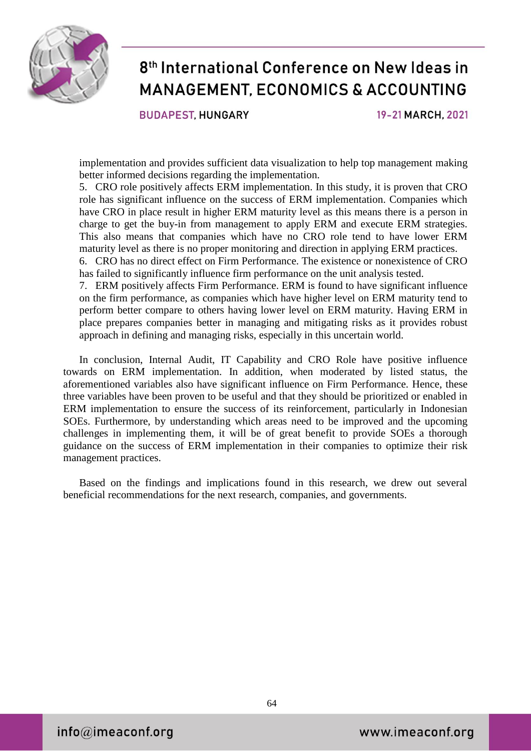

**BUDAPEST HUNGARY** 

19-21 MARCH, 2021

implementation and provides sufficient data visualization to help top management making better informed decisions regarding the implementation.

5. CRO role positively affects ERM implementation. In this study, it is proven that CRO role has significant influence on the success of ERM implementation. Companies which have CRO in place result in higher ERM maturity level as this means there is a person in charge to get the buy-in from management to apply ERM and execute ERM strategies. This also means that companies which have no CRO role tend to have lower ERM maturity level as there is no proper monitoring and direction in applying ERM practices.

6. CRO has no direct effect on Firm Performance. The existence or nonexistence of CRO has failed to significantly influence firm performance on the unit analysis tested.

7. ERM positively affects Firm Performance. ERM is found to have significant influence on the firm performance, as companies which have higher level on ERM maturity tend to perform better compare to others having lower level on ERM maturity. Having ERM in place prepares companies better in managing and mitigating risks as it provides robust approach in defining and managing risks, especially in this uncertain world.

In conclusion, Internal Audit, IT Capability and CRO Role have positive influence towards on ERM implementation. In addition, when moderated by listed status, the aforementioned variables also have significant influence on Firm Performance. Hence, these three variables have been proven to be useful and that they should be prioritized or enabled in ERM implementation to ensure the success of its reinforcement, particularly in Indonesian SOEs. Furthermore, by understanding which areas need to be improved and the upcoming challenges in implementing them, it will be of great benefit to provide SOEs a thorough guidance on the success of ERM implementation in their companies to optimize their risk management practices.

Based on the findings and implications found in this research, we drew out several beneficial recommendations for the next research, companies, and governments.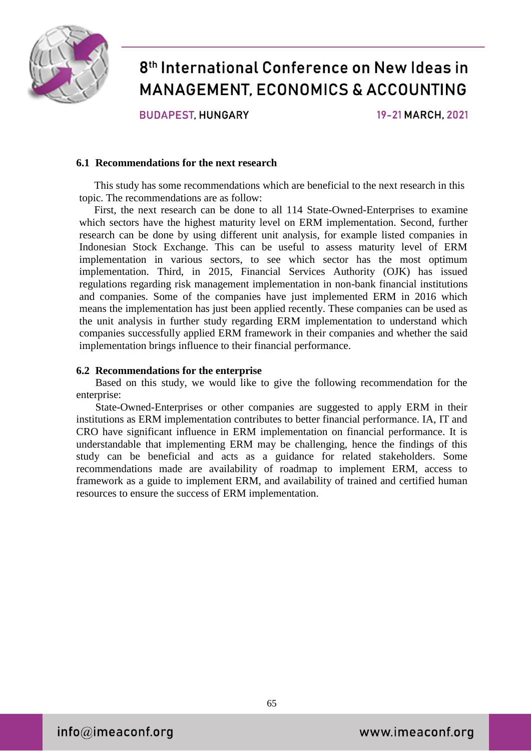

**BUDAPEST HUNGARY** 

19-21 MARCH, 2021

#### **6.1 Recommendations for the next research**

This study has some recommendations which are beneficial to the next research in this topic. The recommendations are as follow:

First, the next research can be done to all 114 State-Owned-Enterprises to examine which sectors have the highest maturity level on ERM implementation. Second, further research can be done by using different unit analysis, for example listed companies in Indonesian Stock Exchange. This can be useful to assess maturity level of ERM implementation in various sectors, to see which sector has the most optimum implementation. Third, in 2015, Financial Services Authority (OJK) has issued regulations regarding risk management implementation in non-bank financial institutions and companies. Some of the companies have just implemented ERM in 2016 which means the implementation has just been applied recently. These companies can be used as the unit analysis in further study regarding ERM implementation to understand which companies successfully applied ERM framework in their companies and whether the said implementation brings influence to their financial performance.

#### **6.2 Recommendations for the enterprise**

Based on this study, we would like to give the following recommendation for the enterprise:

State-Owned-Enterprises or other companies are suggested to apply ERM in their institutions as ERM implementation contributes to better financial performance. IA, IT and CRO have significant influence in ERM implementation on financial performance. It is understandable that implementing ERM may be challenging, hence the findings of this study can be beneficial and acts as a guidance for related stakeholders. Some recommendations made are availability of roadmap to implement ERM, access to framework as a guide to implement ERM, and availability of trained and certified human resources to ensure the success of ERM implementation.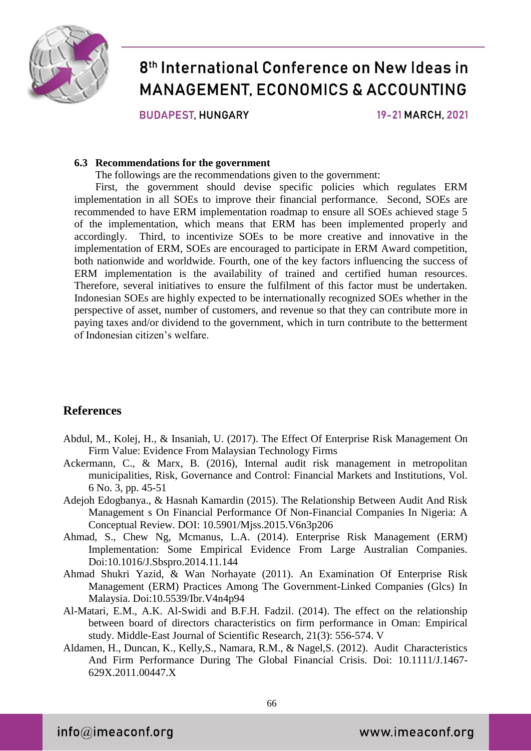

**BUDAPEST, HUNGARY** 

19-21 MARCH, 2021

#### **6.3 Recommendations for the government**

The followings are the recommendations given to the government:

First, the government should devise specific policies which regulates ERM implementation in all SOEs to improve their financial performance. Second, SOEs are recommended to have ERM implementation roadmap to ensure all SOEs achieved stage 5 of the implementation, which means that ERM has been implemented properly and accordingly. Third, to incentivize SOEs to be more creative and innovative in the implementation of ERM, SOEs are encouraged to participate in ERM Award competition, both nationwide and worldwide. Fourth, one of the key factors influencing the success of ERM implementation is the availability of trained and certified human resources. Therefore, several initiatives to ensure the fulfilment of this factor must be undertaken. Indonesian SOEs are highly expected to be internationally recognized SOEs whether in the perspective of asset, number of customers, and revenue so that they can contribute more in paying taxes and/or dividend to the government, which in turn contribute to the betterment of Indonesian citizen's welfare.

### **References**

- Abdul, M., Kolej, H., & Insaniah, U. (2017). The Effect Of Enterprise Risk Management On Firm Value: Evidence From Malaysian Technology Firms
- Ackermann, C., & Marx, B. (2016), Internal audit risk management in metropolitan municipalities, Risk, Governance and Control: Financial Markets and Institutions, Vol. 6 No. 3, pp. 45-51
- Adejoh Edogbanya., & Hasnah Kamardin (2015). The Relationship Between Audit And Risk Management s On Financial Performance Of Non-Financial Companies In Nigeria: A Conceptual Review. DOI: [10.5901/Mjss.2015.V6n3p206](http://dx.doi.org/10.5901/mjss.2015.v6n3p206)
- Ahmad, S., Chew Ng, Mcmanus, L.A. (2014). Enterprise Risk Management (ERM) Implementation: Some Empirical Evidence From Large Australian Companies. Doi:10.1016/J.Sbspro.2014.11.144
- Ahmad Shukri Yazid, & Wan Norhayate (2011). An Examination Of Enterprise Risk Management (ERM) Practices Among The Government-Linked Companies (Glcs) In Malaysia. Doi:10.5539/Ibr.V4n4p94
- Al-Matari, E.M., A.K. Al-Swidi and B.F.H. Fadzil. (2014). The effect on the relationship between board of directors characteristics on firm performance in Oman: Empirical study. Middle-East Journal of Scientific Research, 21(3): 556-574. V
- Aldamen, H., Duncan, K., Kelly,S., Namara, R.M., & Nagel,S. (2012). Audit Characteristics And Firm Performance During The Global Financial Crisis. Doi: 10.1111/J.1467- 629X.2011.00447.X

 $info@$ imeaconf.org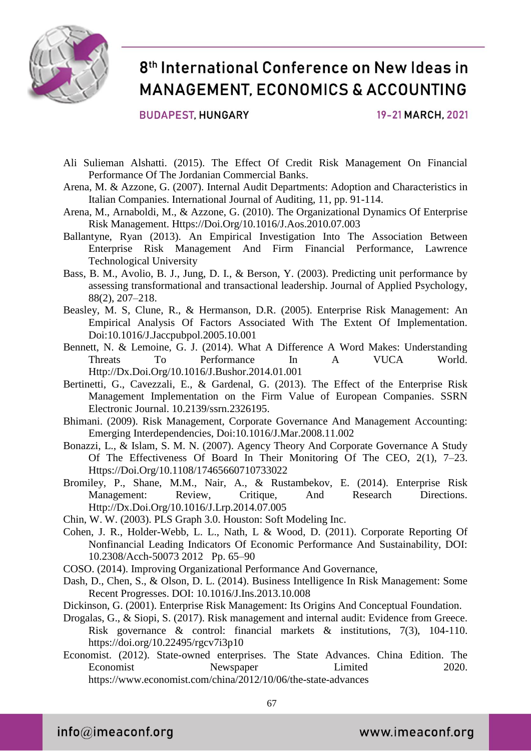

**BUDAPEST, HUNGARY** 

19-21 MARCH, 2021

- Ali Sulieman Alshatti. (2015). The Effect Of Credit Risk Management On Financial Performance Of The Jordanian Commercial Banks.
- Arena, M. & Azzone, G. (2007). Internal Audit Departments: Adoption and Characteristics in Italian Companies. International Journal of Auditing, 11, pp. 91-114.
- Arena, M., Arnaboldi, M., & Azzone, G. (2010). The Organizational Dynamics Of Enterprise Risk Management. Https://Doi.Org/10.1016/J.Aos.2010.07.003
- Ballantyne, Ryan (2013). An Empirical Investigation Into The Association Between Enterprise Risk Management And Firm Financial Performance, Lawrence Technological University
- Bass, B. M., Avolio, B. J., Jung, D. I., & Berson, Y. (2003). Predicting unit performance by assessing transformational and transactional leadership. Journal of Applied Psychology, 88(2), 207–218.
- Beasley, M. S, Clune, R., & Hermanson, D.R. (2005). Enterprise Risk Management: An Empirical Analysis Of Factors Associated With The Extent Of Implementation. Doi:10.1016/J.Jaccpubpol.2005.10.001
- Bennett, N. & Lemoine, G. J. (2014). What A Difference A Word Makes: Understanding Threats To Performance In A VUCA World. Http://Dx.Doi.Org/10.1016/J.Bushor.2014.01.001
- Bertinetti, G., Cavezzali, E., & Gardenal, G. (2013). The Effect of the Enterprise Risk Management Implementation on the Firm Value of European Companies. SSRN Electronic Journal. 10.2139/ssrn.2326195.
- Bhimani. (2009). Risk Management, Corporate Governance And Management Accounting: Emerging Interdependencies, Doi:10.1016/J.Mar.2008.11.002
- Bonazzi, L., & Islam, S. M. N. (2007). Agency Theory And Corporate Governance A Study Of The Effectiveness Of Board In Their Monitoring Of The CEO, 2(1), 7–23. Https://Doi.Org/10.1108/17465660710733022
- Bromiley, P., Shane, M.M., Nair, A., & Rustambekov, E. (2014). Enterprise Risk Management: Review, Critique, And Research Directions. Http://Dx.Doi.Org/10.1016/J.Lrp.2014.07.005
- Chin, W. W. (2003). PLS Graph 3.0. Houston: Soft Modeling Inc.
- Cohen, J. R., Holder-Webb, L. L., Nath, L & Wood, D. (2011). Corporate Reporting Of Nonfinancial Leading Indicators Of Economic Performance And Sustainability, DOI: 10.2308/Acch-50073 2012 Pp. 65–90
- COSO. (2014). Improving Organizational Performance And Governance,
- Dash, D., Chen, S., & Olson, D. L. (2014). Business Intelligence In Risk Management: Some Recent Progresses. DOI: 10.1016/J.Ins.2013.10.008
- Dickinson, G. (2001). Enterprise Risk Management: Its Origins And Conceptual Foundation.
- Drogalas, G., & Siopi, S. (2017). Risk management and internal audit: Evidence from Greece. Risk governance & control: financial markets & institutions, 7(3), 104-110. https://doi.org/10.22495/rgcv7i3p10
- Economist. (2012). State-owned enterprises. The State Advances. China Edition. The Economist Newspaper Limited 2020. https://www.economist.com/china/2012/10/06/the-state-advances

 $info@$ imeaconf.org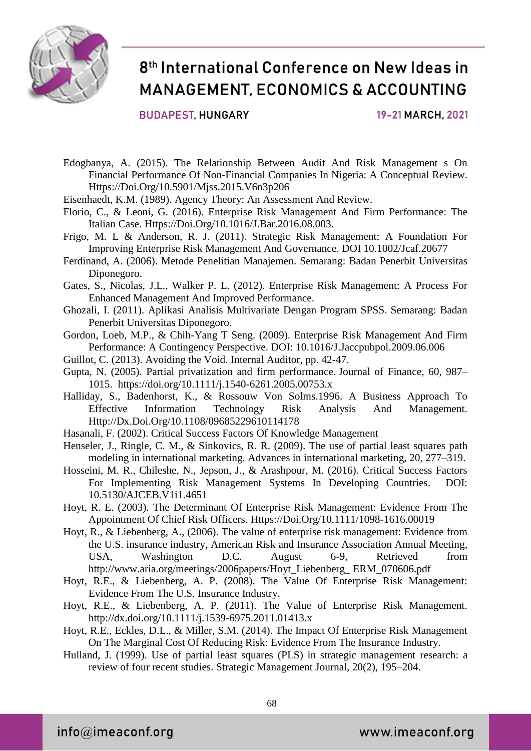

#### **BUDAPEST, HUNGARY**

19-21 MARCH, 2021

- Edogbanya, A. (2015). The Relationship Between Audit And Risk Management s On Financial Performance Of Non-Financial Companies In Nigeria: A Conceptual Review. Https://Doi.Org/10.5901/Mjss.2015.V6n3p206
- Eisenhaedt, K.M. (1989). Agency Theory: An Assessment And Review.
- Florio, C., & Leoni, G. (2016). Enterprise Risk Management And Firm Performance: The Italian Case. Https://Doi.Org/10.1016/J.Bar.2016.08.003.
- Frigo, M. L & Anderson, R. J. (2011). Strategic Risk Management: A Foundation For Improving Enterprise Risk Management And Governance. DOI 10.1002/Jcaf.20677
- Ferdinand, A. (2006). Metode Penelitian Manajemen. Semarang: Badan Penerbit Universitas Diponegoro.
- Gates, S., Nicolas, J.L., Walker P. L. (2012). Enterprise Risk Management: A Process For Enhanced Management And Improved Performance.
- Ghozali, I. (2011). Aplikasi Analisis Multivariate Dengan Program SPSS. Semarang: Badan Penerbit Universitas Diponegoro.
- Gordon, Loeb, M.P., & Chih-Yang T Seng. (2009). Enterprise Risk Management And Firm Performance: A Contingency Perspective. DOI: 10.1016/J.Jaccpubpol.2009.06.006
- Guillot, C. (2013). Avoiding the Void. Internal Auditor, pp. 42-47.
- Gupta, N. (2005). Partial privatization and firm performance. Journal of Finance, 60, 987– 1015. https://doi.org/10.1111/j.1540-6261.2005.00753.x
- Halliday, S., Badenhorst, K., & Rossouw Von Solms.1996. A Business Approach To Effective Information Technology Risk Analysis And Management. Http://Dx.Doi.Org/10.1108/09685229610114178
- Hasanali, F. (2002). Critical Success Factors Of Knowledge Management
- Henseler, J., Ringle, C. M., & Sinkovics, R. R. (2009). The use of partial least squares path modeling in international marketing. Advances in international marketing, 20, 277–319.
- Hosseini, M. R., Chileshe, N., Jepson, J., & Arashpour, M. (2016). Critical Success Factors For Implementing Risk Management Systems In Developing Countries. DOI: 10.5130/AJCEB.V1i1.4651
- Hoyt, R. E. (2003). The Determinant Of Enterprise Risk Management: Evidence From The Appointment Of Chief Risk Officers. Https://Doi.Org/10.1111/1098-1616.00019
- Hoyt, R., & Liebenberg, A., (2006). The value of enterprise risk management: Evidence from the U.S. insurance industry, American Risk and Insurance Association Annual Meeting, USA, Washington D.C. August 6-9, Retrieved from http://www.aria.org/meetings/2006papers/Hoyt\_Liebenberg\_ ERM\_070606.pdf
- Hoyt, R.E., & Liebenberg, A. P. (2008). The Value Of Enterprise Risk Management: Evidence From The U.S. Insurance Industry.
- Hoyt, R.E., & Liebenberg, A. P. (2011). The Value of Enterprise Risk Management. http://dx.doi.org/10.1111/j.1539-6975.2011.01413.x
- Hoyt, R.E., Eckles, D.L., & Miller, S.M. (2014). The Impact Of Enterprise Risk Management On The Marginal Cost Of Reducing Risk: Evidence From The Insurance Industry.
- Hulland, J. (1999). Use of partial least squares (PLS) in strategic management research: a review of four recent studies. Strategic Management Journal, 20(2), 195–204.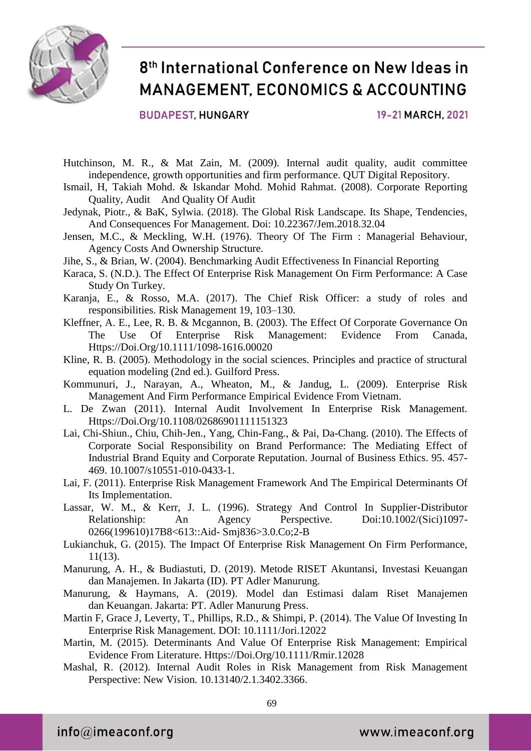

**BUDAPEST, HUNGARY** 

19-21 MARCH, 2021

- Hutchinson, M. R., & Mat Zain, M. (2009). Internal audit quality, audit committee independence, growth opportunities and firm performance. QUT Digital Repository.
- Ismail, H, Takiah Mohd. & Iskandar Mohd. Mohid Rahmat. (2008). Corporate Reporting Quality, Audit And Quality Of Audit
- Jedynak, Piotr., & BaK, Sylwia. (2018). The Global Risk Landscape. Its Shape, Tendencies, And Consequences For Management. Doi: 10.22367/Jem.2018.32.04
- Jensen, M.C., & Meckling, W.H. (1976). Theory Of The Firm : Managerial Behaviour, Agency Costs And Ownership Structure.
- Jihe, S., & Brian, W. (2004). Benchmarking Audit Effectiveness In Financial Reporting
- Karaca, S. (N.D.). The Effect Of Enterprise Risk Management On Firm Performance: A Case Study On Turkey.
- Karanja, E., & Rosso, M.A. (2017). The Chief Risk Officer: a study of roles and responsibilities. Risk Management 19, 103–130.
- Kleffner, A. E., Lee, R. B. & Mcgannon, B. (2003). The Effect Of Corporate Governance On The Use Of Enterprise Risk Management: Evidence From Canada, Https://Doi.Org/10.1111/1098-1616.00020
- Kline, R. B. (2005). Methodology in the social sciences. Principles and practice of structural equation modeling (2nd ed.). Guilford Press.
- Kommunuri, J., Narayan, A., Wheaton, M., & Jandug, L. (2009). Enterprise Risk Management And Firm Performance Empirical Evidence From Vietnam.
- L. De Zwan (2011). Internal Audit Involvement In Enterprise Risk Management. Https://Doi.Org/10.1108/02686901111151323
- Lai, Chi-Shiun., Chiu, Chih-Jen., Yang, Chin-Fang., & Pai, Da-Chang. (2010). The Effects of Corporate Social Responsibility on Brand Performance: The Mediating Effect of Industrial Brand Equity and Corporate Reputation. Journal of Business Ethics. 95. 457- 469. 10.1007/s10551-010-0433-1.
- Lai, F. (2011). Enterprise Risk Management Framework And The Empirical Determinants Of Its Implementation.
- Lassar, W. M., & Kerr, J. L. (1996). Strategy And Control In Supplier-Distributor Relationship: An Agency Perspective. Doi:10.1002/(Sici)1097-0266(199610)17B8<613::Aid- Smj836>3.0.Co;2-B
- Lukianchuk, G. (2015). The Impact Of Enterprise Risk Management On Firm Performance, 11(13).
- Manurung, A. H., & Budiastuti, D. (2019). Metode RISET Akuntansi, Investasi Keuangan dan Manajemen. In Jakarta (ID). PT Adler Manurung.
- Manurung, & Haymans, A. (2019). Model dan Estimasi dalam Riset Manajemen dan Keuangan. Jakarta: PT. Adler Manurung Press.
- Martin F, Grace J, Leverty, T., Phillips, R.D., & Shimpi, P. (2014). The Value Of Investing In Enterprise Risk Management. DOI: 10.1111/Jori.12022
- Martin, M. (2015). Determinants And Value Of Enterprise Risk Management: Empirical Evidence From Literature. Https://Doi.Org/10.1111/Rmir.12028
- Mashal, R. (2012). Internal Audit Roles in Risk Management from Risk Management Perspective: New Vision. 10.13140/2.1.3402.3366.

 $info@$ imeaconf.org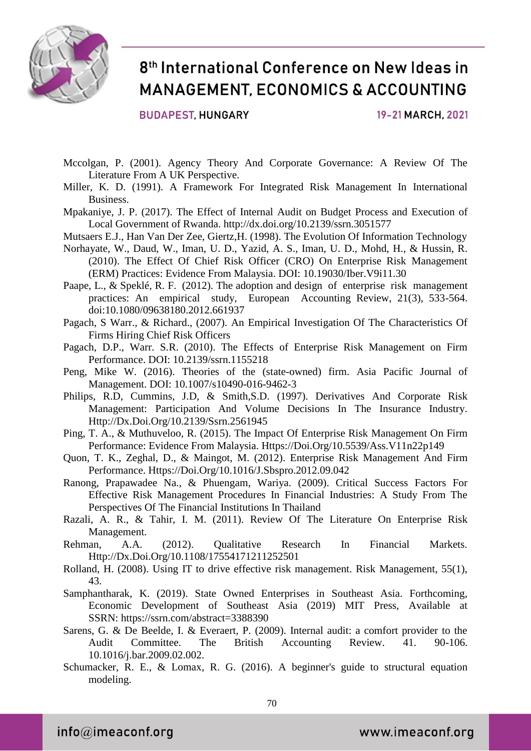

**BUDAPEST, HUNGARY** 

19-21 MARCH, 2021

- Mccolgan, P. (2001). Agency Theory And Corporate Governance: A Review Of The Literature From A UK Perspective.
- Miller, K. D. (1991). A Framework For Integrated Risk Management In International Business.
- Mpakaniye, J. P. (2017). The Effect of Internal Audit on Budget Process and Execution of Local Government of Rwanda. http://dx.doi.org/10.2139/ssrn.3051577
- Mutsaers E.J., Han Van Der Zee, Giertz,H. (1998). The Evolution Of Information Technology
- Norhayate, W., Daud, W., Iman, U. D., Yazid, A. S., Iman, U. D., Mohd, H., & Hussin, R. (2010). The Effect Of Chief Risk Officer (CRO) On Enterprise Risk Management (ERM) Practices: Evidence From Malaysia. DOI: 10.19030/Iber.V9i11.30
- Paape, L., & Speklé, R. F. (2012). The adoption and design of enterprise risk management practices: An empirical study, European Accounting Review, 21(3), 533-564. doi:10.1080/09638180.2012.661937
- Pagach, S Warr., & Richard., (2007). An Empirical Investigation Of The Characteristics Of Firms Hiring Chief Risk Officers
- Pagach, D.P., Warr. S.R. (2010). The Effects of Enterprise Risk Management on Firm Performance. DOI: 10.2139/ssrn.1155218
- Peng, Mike W. (2016). Theories of the (state-owned) firm. Asia Pacific Journal of Management. DOI: 10.1007/s10490-016-9462-3
- Philips, R.D, Cummins, J.D, & Smith,S.D. (1997). Derivatives And Corporate Risk Management: Participation And Volume Decisions In The Insurance Industry. Http://Dx.Doi.Org/10.2139/Ssrn.2561945
- Ping, T. A., & Muthuveloo, R. (2015). The Impact Of Enterprise Risk Management On Firm Performance: Evidence From Malaysia. Https://Doi.Org/10.5539/Ass.V11n22p149
- Quon, T. K., Zeghal, D., & Maingot, M. (2012). Enterprise Risk Management And Firm Performance. Https://Doi.Org/10.1016/J.Sbspro.2012.09.042
- Ranong, Prapawadee Na., & Phuengam, Wariya. (2009). Critical Success Factors For Effective Risk Management Procedures In Financial Industries: A Study From The Perspectives Of The Financial Institutions In Thailand
- Razali, A. R., & Tahir, I. M. (2011). Review Of The Literature On Enterprise Risk Management.
- Rehman, A.A. (2012). Qualitative Research In Financial Markets. Http://Dx.Doi.Org/10.1108/17554171211252501
- Rolland, H. (2008). Using IT to drive effective risk management. Risk Management, 55(1), 43.
- Samphantharak, K. (2019). State Owned Enterprises in Southeast Asia. Forthcoming, Economic Development of Southeast Asia (2019) MIT Press, Available at SSRN: https://ssrn.com/abstract=3388390
- Sarens, G. & De Beelde, I. & Everaert, P. (2009). Internal audit: a comfort provider to the Audit Committee. The British Accounting Review. 41. 90-106. 10.1016/j.bar.2009.02.002.
- Schumacker, R. E., & Lomax, R. G. (2016). A beginner's guide to structural equation modeling.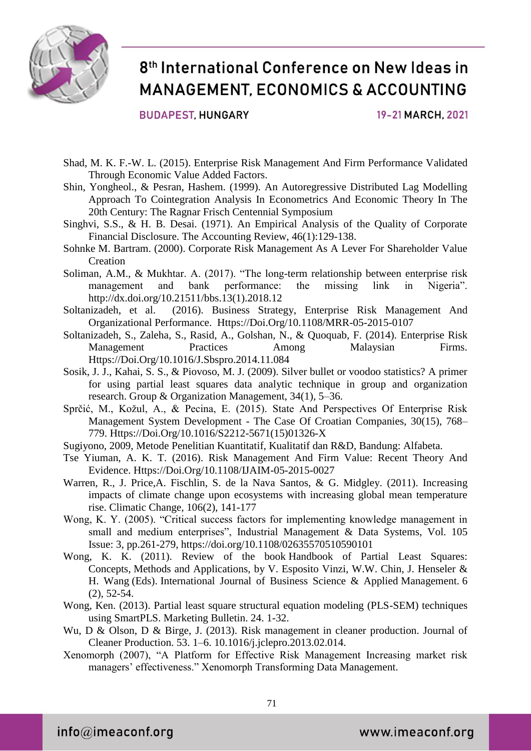

**BUDAPEST, HUNGARY** 

19-21 MARCH, 2021

- Shad, M. K. F.-W. L. (2015). Enterprise Risk Management And Firm Performance Validated Through Economic Value Added Factors.
- Shin, Yongheol., & Pesran, Hashem. (1999). An Autoregressive Distributed Lag Modelling Approach To Cointegration Analysis In Econometrics And Economic Theory In The 20th Century: The Ragnar Frisch Centennial Symposium
- Singhvi, S.S., & H. B. Desai. (1971). An Empirical Analysis of the Quality of Corporate Financial Disclosure. The Accounting Review, 46(1):129-138.
- Sohnke M. Bartram. (2000). Corporate Risk Management As A Lever For Shareholder Value **Creation**
- Soliman, A.M., & Mukhtar. A. (2017). "The long-term relationship between enterprise risk management and bank performance: the missing link in Nigeria". http://dx.doi.org/10.21511/bbs.13(1).2018.12
- Soltanizadeh, et al. (2016). Business Strategy, Enterprise Risk Management And Organizational Performance. Https://Doi.Org/10.1108/MRR-05-2015-0107
- Soltanizadeh, S., Zaleha, S., Rasid, A., Golshan, N., & Quoquab, F. (2014). Enterprise Risk Management Practices Among Malaysian Firms. Https://Doi.Org/10.1016/J.Sbspro.2014.11.084
- Sosik, J. J., Kahai, S. S., & Piovoso, M. J. (2009). Silver bullet or voodoo statistics? A primer for using partial least squares data analytic technique in group and organization research. Group & Organization Management, 34(1), 5–36.
- Sprčić, M., Kožul, A., & Pecina, E. (2015). State And Perspectives Of Enterprise Risk Management System Development - The Case Of Croatian Companies, 30(15), 768– 779. Https://Doi.Org/10.1016/S2212-5671(15)01326-X
- Sugiyono, 2009, Metode Penelitian Kuantitatif, Kualitatif dan R&D, Bandung: Alfabeta.
- Tse Yiuman, A. K. T. (2016). Risk Management And Firm Value: Recent Theory And Evidence. Https://Doi.Org/10.1108/IJAIM-05-2015-0027
- Warren, R., J. Price,A. Fischlin, S. de la Nava Santos, & G. Midgley. (2011). Increasing impacts of climate change upon ecosystems with increasing global mean temperature rise. Climatic Change, 106(2), 141-177
- Wong, K. Y. (2005). "Critical success factors for implementing knowledge management in small and medium enterprises", Industrial Management & Data Systems, Vol. 105 Issue: 3, pp.261-279, https://doi.org/10.1108/02635570510590101
- Wong, K. K. (2011). Review of the book Handbook of Partial Least Squares: Concepts, Methods and Applications, by V. Esposito Vinzi, W.W. Chin, J. Henseler & H. Wang (Eds). International Journal of Business Science & Applied Management. 6 (2), 52-54.
- Wong, Ken. (2013). Partial least square structural equation modeling (PLS-SEM) techniques using SmartPLS. Marketing Bulletin. 24. 1-32.
- Wu, D & Olson, D & Birge, J. (2013). Risk management in cleaner production. Journal of Cleaner Production. 53. 1–6. 10.1016/j.jclepro.2013.02.014.
- Xenomorph (2007), "A Platform for Effective Risk Management Increasing market risk managers' effectiveness." Xenomorph Transforming Data Management.

 $info@$ imeaconf.org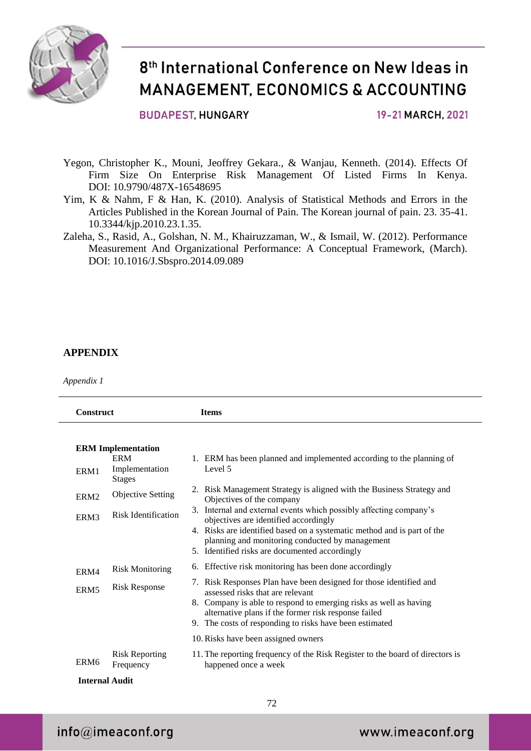

#### **BUDAPEST, HUNGARY**

19-21 MARCH, 2021

- Yegon, Christopher K., Mouni, Jeoffrey Gekara., & Wanjau, Kenneth. (2014). Effects Of Firm Size On Enterprise Risk Management Of Listed Firms In Kenya. DOI: 10.9790/487X-16548695
- Yim, K & Nahm, F & Han, K. (2010). Analysis of Statistical Methods and Errors in the Articles Published in the Korean Journal of Pain. The Korean journal of pain. 23. 35-41. 10.3344/kjp.2010.23.1.35.
- Zaleha, S., Rasid, A., Golshan, N. M., Khairuzzaman, W., & Ismail, W. (2012). Performance Measurement And Organizational Performance: A Conceptual Framework, (March). DOI: 10.1016/J.Sbspro.2014.09.089

#### **APPENDIX**

*Appendix 1*

| <b>Construct</b>                                       | <b>Items</b>                                                                                                                                                                                                                                                                                   |  |  |  |
|--------------------------------------------------------|------------------------------------------------------------------------------------------------------------------------------------------------------------------------------------------------------------------------------------------------------------------------------------------------|--|--|--|
| <b>ERM</b> Implementation<br><b>ERM</b>                |                                                                                                                                                                                                                                                                                                |  |  |  |
| Implementation<br>ERM1<br><b>Stages</b>                | 1. ERM has been planned and implemented according to the planning of<br>Level 5                                                                                                                                                                                                                |  |  |  |
| <b>Objective Setting</b><br>ERM <sub>2</sub>           | 2. Risk Management Strategy is aligned with the Business Strategy and<br>Objectives of the company                                                                                                                                                                                             |  |  |  |
| <b>Risk Identification</b><br>ERM3                     | Internal and external events which possibly affecting company's<br>3.<br>objectives are identified accordingly<br>4. Risks are identified based on a systematic method and is part of the<br>planning and monitoring conducted by management<br>5. Identified risks are documented accordingly |  |  |  |
| <b>Risk Monitoring</b><br>ERM4                         | Effective risk monitoring has been done accordingly<br>6.                                                                                                                                                                                                                                      |  |  |  |
| <b>Risk Response</b><br>ERM <sub>5</sub>               | 7. Risk Responses Plan have been designed for those identified and<br>assessed risks that are relevant<br>8. Company is able to respond to emerging risks as well as having<br>alternative plans if the former risk response failed<br>9. The costs of responding to risks have been estimated |  |  |  |
|                                                        | 10. Risks have been assigned owners                                                                                                                                                                                                                                                            |  |  |  |
| <b>Risk Reporting</b><br>ERM <sub>6</sub><br>Frequency | 11. The reporting frequency of the Risk Register to the board of directors is<br>happened once a week                                                                                                                                                                                          |  |  |  |

### $info@$ imeaconf.org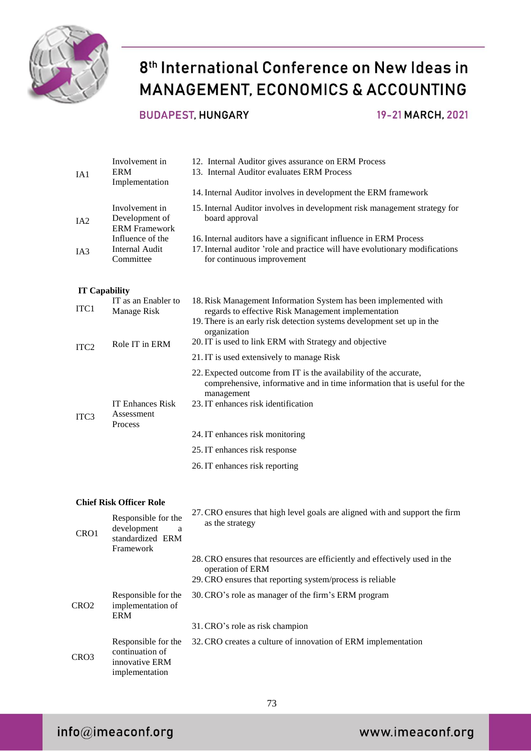

### **BUDAPEST, HUNGARY**

19-21 MARCH, 2021

| IA1                  | Involvement in<br><b>ERM</b><br>Implementation                             | 12. Internal Auditor gives assurance on ERM Process<br>13. Internal Auditor evaluates ERM Process<br>14. Internal Auditor involves in development the ERM framework                                               |
|----------------------|----------------------------------------------------------------------------|-------------------------------------------------------------------------------------------------------------------------------------------------------------------------------------------------------------------|
| IA <sub>2</sub>      | Involvement in<br>Development of<br><b>ERM</b> Framework                   | 15. Internal Auditor involves in development risk management strategy for<br>board approval                                                                                                                       |
| IA3                  | Influence of the<br><b>Internal Audit</b><br>Committee                     | 16. Internal auditors have a significant influence in ERM Process<br>17. Internal auditor 'role and practice will have evolutionary modifications<br>for continuous improvement                                   |
| <b>IT Capability</b> |                                                                            |                                                                                                                                                                                                                   |
| ITC1                 | IT as an Enabler to<br>Manage Risk                                         | 18. Risk Management Information System has been implemented with<br>regards to effective Risk Management implementation<br>19. There is an early risk detection systems development set up in the<br>organization |
| ITC <sub>2</sub>     | Role IT in ERM                                                             | 20. IT is used to link ERM with Strategy and objective                                                                                                                                                            |
|                      |                                                                            | 21. IT is used extensively to manage Risk                                                                                                                                                                         |
| ITC <sub>3</sub>     | <b>IT Enhances Risk</b><br>Assessment                                      | 22. Expected outcome from IT is the availability of the accurate,<br>comprehensive, informative and in time information that is useful for the<br>management<br>23. IT enhances risk identification               |
|                      | Process                                                                    | 24. IT enhances risk monitoring                                                                                                                                                                                   |
|                      |                                                                            | 25. IT enhances risk response                                                                                                                                                                                     |
|                      |                                                                            | 26. IT enhances risk reporting                                                                                                                                                                                    |
|                      | <b>Chief Risk Officer Role</b>                                             |                                                                                                                                                                                                                   |
| CRO1                 | Responsible for the<br>development<br>a<br>standardized ERM<br>Framework   | 27. CRO ensures that high level goals are aligned with and support the firm<br>as the strategy                                                                                                                    |
|                      |                                                                            | 28. CRO ensures that resources are efficiently and effectively used in the<br>operation of ERM<br>29. CRO ensures that reporting system/process is reliable                                                       |
| CRO <sub>2</sub>     | Responsible for the<br>implementation of<br><b>ERM</b>                     | 30. CRO's role as manager of the firm's ERM program                                                                                                                                                               |
|                      |                                                                            | 31. CRO's role as risk champion                                                                                                                                                                                   |
| CRO3                 | Responsible for the<br>continuation of<br>innovative ERM<br>implementation | 32. CRO creates a culture of innovation of ERM implementation                                                                                                                                                     |

73

### $info@imeaconf.org$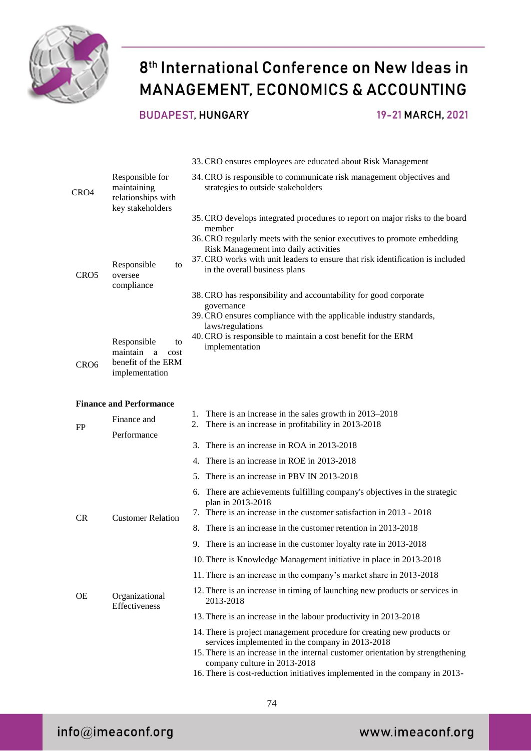

#### **BUDAPEST, HUNGARY**

19-21 MARCH, 2021

|                  |                                                                                    | 33. CRO ensures employees are educated about Risk Management                                                                                                                                                                                                                                                                                                                                                                                                                          |
|------------------|------------------------------------------------------------------------------------|---------------------------------------------------------------------------------------------------------------------------------------------------------------------------------------------------------------------------------------------------------------------------------------------------------------------------------------------------------------------------------------------------------------------------------------------------------------------------------------|
| CRO4             | Responsible for<br>maintaining<br>relationships with<br>key stakeholders           | 34. CRO is responsible to communicate risk management objectives and<br>strategies to outside stakeholders                                                                                                                                                                                                                                                                                                                                                                            |
| CRO <sub>5</sub> | Responsible<br>to<br>oversee<br>compliance                                         | 35. CRO develops integrated procedures to report on major risks to the board<br>member<br>36. CRO regularly meets with the senior executives to promote embedding<br>Risk Management into daily activities<br>37. CRO works with unit leaders to ensure that risk identification is included<br>in the overall business plans<br>38. CRO has responsibility and accountability for good corporate<br>governance<br>39. CRO ensures compliance with the applicable industry standards, |
| CR <sub>O6</sub> | Responsible<br>to<br>maintain<br>a<br>cost<br>benefit of the ERM<br>implementation | laws/regulations<br>40. CRO is responsible to maintain a cost benefit for the ERM<br>implementation                                                                                                                                                                                                                                                                                                                                                                                   |
|                  | <b>Finance and Performance</b>                                                     |                                                                                                                                                                                                                                                                                                                                                                                                                                                                                       |
| FP               | Finance and<br>Performance                                                         | There is an increase in the sales growth in 2013–2018<br>1.<br>There is an increase in profitability in 2013-2018<br>2.                                                                                                                                                                                                                                                                                                                                                               |
|                  |                                                                                    | 3. There is an increase in ROA in 2013-2018                                                                                                                                                                                                                                                                                                                                                                                                                                           |
|                  |                                                                                    | 4. There is an increase in ROE in 2013-2018                                                                                                                                                                                                                                                                                                                                                                                                                                           |
|                  |                                                                                    | 5. There is an increase in PBV IN 2013-2018                                                                                                                                                                                                                                                                                                                                                                                                                                           |
|                  |                                                                                    | 6. There are achievements fulfilling company's objectives in the strategic<br>plan in 2013-2018                                                                                                                                                                                                                                                                                                                                                                                       |
| <b>CR</b>        | <b>Customer Relation</b>                                                           | 7. There is an increase in the customer satisfaction in 2013 - 2018                                                                                                                                                                                                                                                                                                                                                                                                                   |
|                  |                                                                                    | 8. There is an increase in the customer retention in 2013-2018                                                                                                                                                                                                                                                                                                                                                                                                                        |
|                  |                                                                                    | 9. There is an increase in the customer loyalty rate in 2013-2018                                                                                                                                                                                                                                                                                                                                                                                                                     |
|                  |                                                                                    | 10. There is Knowledge Management initiative in place in 2013-2018                                                                                                                                                                                                                                                                                                                                                                                                                    |
|                  |                                                                                    | 11. There is an increase in the company's market share in 2013-2018                                                                                                                                                                                                                                                                                                                                                                                                                   |
| <b>OE</b>        | Organizational<br>Effectiveness                                                    | 12. There is an increase in timing of launching new products or services in<br>2013-2018                                                                                                                                                                                                                                                                                                                                                                                              |
|                  |                                                                                    | 13. There is an increase in the labour productivity in 2013-2018                                                                                                                                                                                                                                                                                                                                                                                                                      |
|                  |                                                                                    | 14. There is project management procedure for creating new products or<br>services implemented in the company in 2013-2018<br>15. There is an increase in the internal customer orientation by strengthening<br>company culture in 2013-2018<br>16. There is cost-reduction initiatives implemented in the company in 2013-                                                                                                                                                           |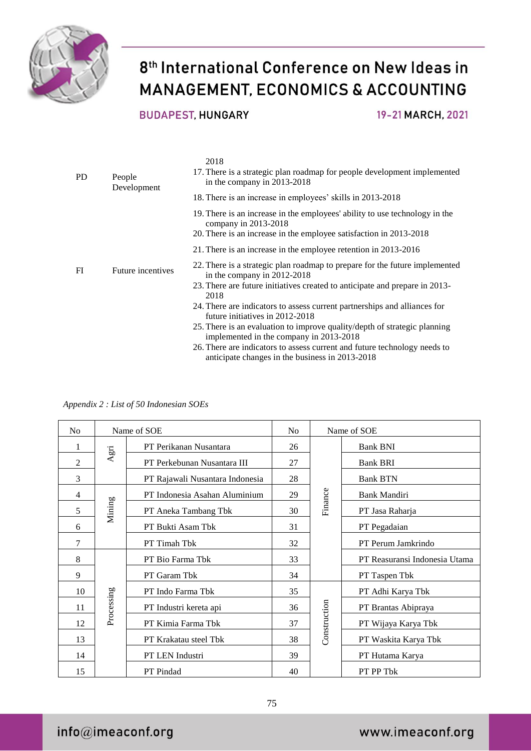

**BUDAPEST, HUNGARY** 

19-21 MARCH, 2021

| PD. | People<br>Development | 2018<br>17. There is a strategic plan roadmap for people development implemented<br>in the company in 2013-2018                                                                                   |
|-----|-----------------------|---------------------------------------------------------------------------------------------------------------------------------------------------------------------------------------------------|
|     |                       | 18. There is an increase in employees' skills in 2013-2018                                                                                                                                        |
|     |                       | 19. There is an increase in the employees' ability to use technology in the<br>company in $2013-2018$<br>20. There is an increase in the employee satisfaction in 2013-2018                       |
|     |                       | 21. There is an increase in the employee retention in 2013-2016                                                                                                                                   |
| FI  | Future incentives     | 22. There is a strategic plan roadmap to prepare for the future implemented<br>in the company in 2012-2018<br>23. There are future initiatives created to anticipate and prepare in 2013-<br>2018 |
|     |                       | 24. There are indicators to assess current partnerships and alliances for<br>future initiatives in 2012-2018                                                                                      |
|     |                       | 25. There is an evaluation to improve quality/depth of strategic planning<br>implemented in the company in 2013-2018                                                                              |
|     |                       | 26. There are indicators to assess current and future technology needs to<br>anticipate changes in the business in 2013-2018                                                                      |

*Appendix 2 : List of 50 Indonesian SOEs*

| N <sub>o</sub> | Name of SOE |                                 | N <sub>o</sub> | Name of SOE  |                               |
|----------------|-------------|---------------------------------|----------------|--------------|-------------------------------|
| 1              | Agri        | PT Perikanan Nusantara          | 26             |              | <b>Bank BNI</b>               |
| 2              |             | PT Perkebunan Nusantara III     | 27             |              | <b>Bank BRI</b>               |
| 3              |             | PT Rajawali Nusantara Indonesia | 28             |              | <b>Bank BTN</b>               |
| $\overline{4}$ | Mining      | PT Indonesia Asahan Aluminium   | 29             | Finance      | <b>Bank Mandiri</b>           |
| 5              |             | PT Aneka Tambang Tbk            | 30             |              | PT Jasa Raharja               |
| 6              |             | PT Bukti Asam Tbk               | 31             |              | PT Pegadaian                  |
| 7              |             | PT Timah Tbk                    | 32             |              | PT Perum Jamkrindo            |
| 8              | Processing  | PT Bio Farma Tbk                | 33             |              | PT Reasuransi Indonesia Utama |
| 9              |             | PT Garam Tbk                    | 34             |              | PT Taspen Tbk                 |
| 10             |             | PT Indo Farma Tbk               | 35             | Construction | PT Adhi Karya Tbk             |
| 11             |             | PT Industri kereta api          | 36             |              | PT Brantas Abipraya           |
| 12             |             | PT Kimia Farma Tbk              | 37             |              | PT Wijaya Karya Tbk           |
| 13             |             | PT Krakatau steel Tbk           | 38             |              | PT Waskita Karya Tbk          |
| 14             |             | PT LEN Industri                 | 39             |              | PT Hutama Karya               |
| 15             |             | PT Pindad                       | 40             |              | PT PP Tbk                     |

75

 $info@imeaconf.org$